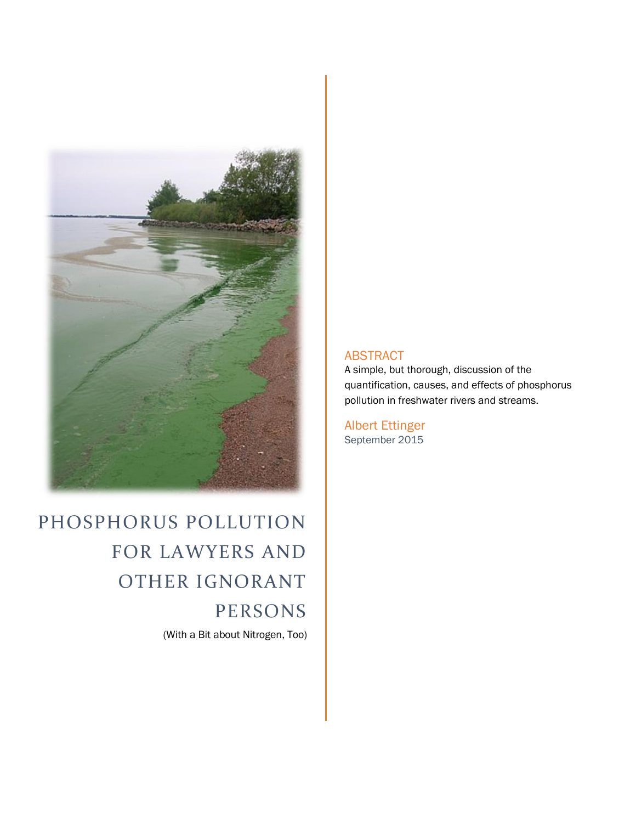

PHOSPHORUS POLLUTION FOR LAWYERS AND OTHER IGNORANT PERSONS (With a Bit about Nitrogen, Too)

#### ABSTRACT

A simple, but thorough, discussion of the quantification, causes, and effects of phosphorus pollution in freshwater rivers and streams.

Albert Ettinger September 2015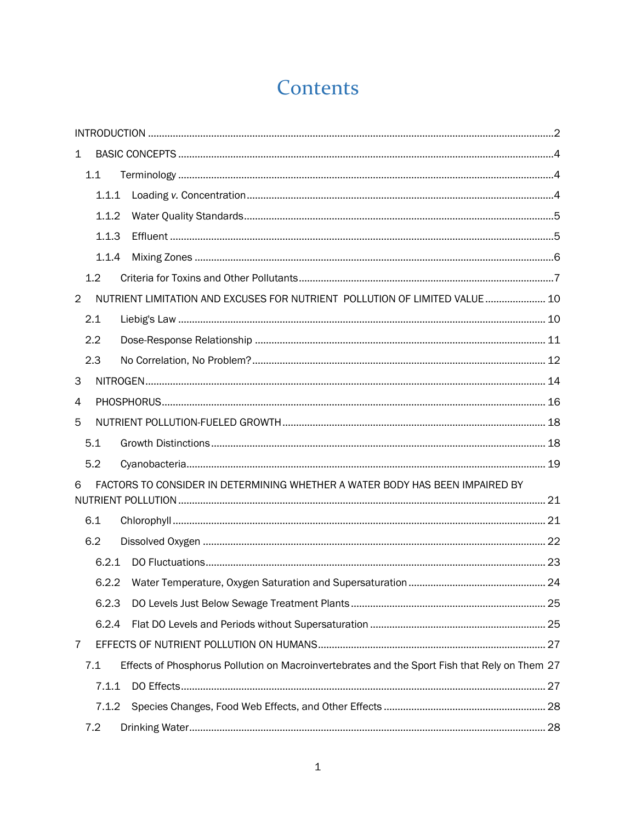# Contents

| $\mathbf 1$    |       |                                                                                               |  |  |  |
|----------------|-------|-----------------------------------------------------------------------------------------------|--|--|--|
|                | 1.1   |                                                                                               |  |  |  |
|                | 1.1.1 |                                                                                               |  |  |  |
|                | 1.1.2 |                                                                                               |  |  |  |
|                | 1.1.3 |                                                                                               |  |  |  |
|                | 1.1.4 |                                                                                               |  |  |  |
|                | 1.2   |                                                                                               |  |  |  |
| $\overline{2}$ |       | NUTRIENT LIMITATION AND EXCUSES FOR NUTRIENT POLLUTION OF LIMITED VALUE 10                    |  |  |  |
|                | 2.1   |                                                                                               |  |  |  |
|                | 2.2   |                                                                                               |  |  |  |
|                | 2.3   |                                                                                               |  |  |  |
| 3              |       |                                                                                               |  |  |  |
| 4              |       |                                                                                               |  |  |  |
| 5              |       |                                                                                               |  |  |  |
|                | 5.1   |                                                                                               |  |  |  |
|                | 5.2   |                                                                                               |  |  |  |
| 6              |       | FACTORS TO CONSIDER IN DETERMINING WHETHER A WATER BODY HAS BEEN IMPAIRED BY                  |  |  |  |
|                | 6.1   |                                                                                               |  |  |  |
|                | 6.2   |                                                                                               |  |  |  |
|                | 6.2.1 |                                                                                               |  |  |  |
|                | 6.2.2 |                                                                                               |  |  |  |
|                | 6.2.3 |                                                                                               |  |  |  |
|                | 6.2.4 |                                                                                               |  |  |  |
| $\overline{7}$ |       |                                                                                               |  |  |  |
|                | 7.1   | Effects of Phosphorus Pollution on Macroinvertebrates and the Sport Fish that Rely on Them 27 |  |  |  |
|                | 7.1.1 |                                                                                               |  |  |  |
|                | 7.1.2 |                                                                                               |  |  |  |
|                | 7.2   |                                                                                               |  |  |  |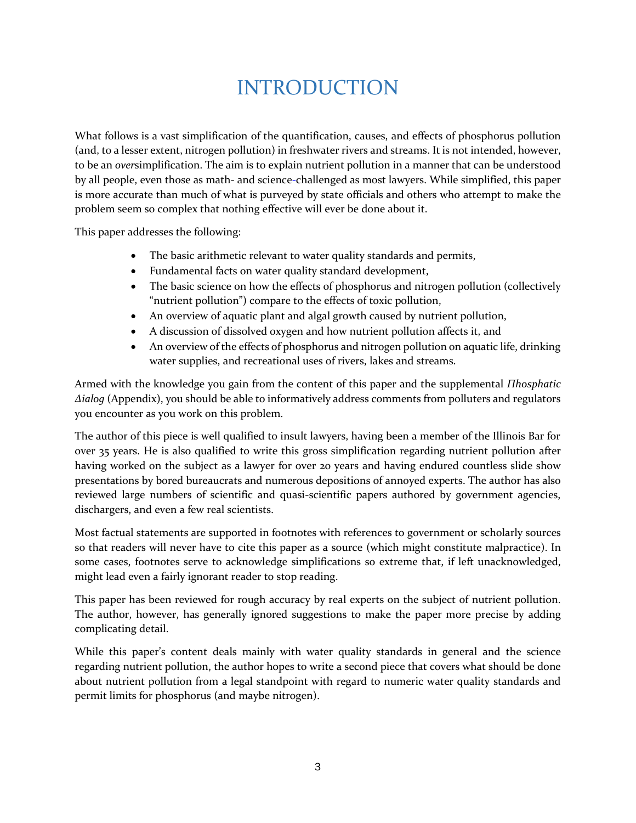## INTRODUCTION

What follows is a vast simplification of the quantification, causes, and effects of phosphorus pollution (and, to a lesser extent, nitrogen pollution) in freshwater rivers and streams. It is not intended, however, to be an *over*simplification. The aim is to explain nutrient pollution in a manner that can be understood by all people, even those as math- and science-challenged as most lawyers. While simplified, this paper is more accurate than much of what is purveyed by state officials and others who attempt to make the problem seem so complex that nothing effective will ever be done about it.

This paper addresses the following:

- The basic arithmetic relevant to water quality standards and permits,
- Fundamental facts on water quality standard development,
- The basic science on how the effects of phosphorus and nitrogen pollution (collectively "nutrient pollution") compare to the effects of toxic pollution,
- An overview of aquatic plant and algal growth caused by nutrient pollution,
- A discussion of dissolved oxygen and how nutrient pollution affects it, and
- An overview of the effects of phosphorus and nitrogen pollution on aquatic life, drinking water supplies, and recreational uses of rivers, lakes and streams.

Armed with the knowledge you gain from the content of this paper and the supplemental *Πhosphatic Δialog* (Appendix), you should be able to informatively address comments from polluters and regulators you encounter as you work on this problem.

The author of this piece is well qualified to insult lawyers, having been a member of the Illinois Bar for over 35 years. He is also qualified to write this gross simplification regarding nutrient pollution after having worked on the subject as a lawyer for over 20 years and having endured countless slide show presentations by bored bureaucrats and numerous depositions of annoyed experts. The author has also reviewed large numbers of scientific and quasi-scientific papers authored by government agencies, dischargers, and even a few real scientists.

Most factual statements are supported in footnotes with references to government or scholarly sources so that readers will never have to cite this paper as a source (which might constitute malpractice). In some cases, footnotes serve to acknowledge simplifications so extreme that, if left unacknowledged, might lead even a fairly ignorant reader to stop reading.

This paper has been reviewed for rough accuracy by real experts on the subject of nutrient pollution. The author, however, has generally ignored suggestions to make the paper more precise by adding complicating detail.

While this paper's content deals mainly with water quality standards in general and the science regarding nutrient pollution, the author hopes to write a second piece that covers what should be done about nutrient pollution from a legal standpoint with regard to numeric water quality standards and permit limits for phosphorus (and maybe nitrogen).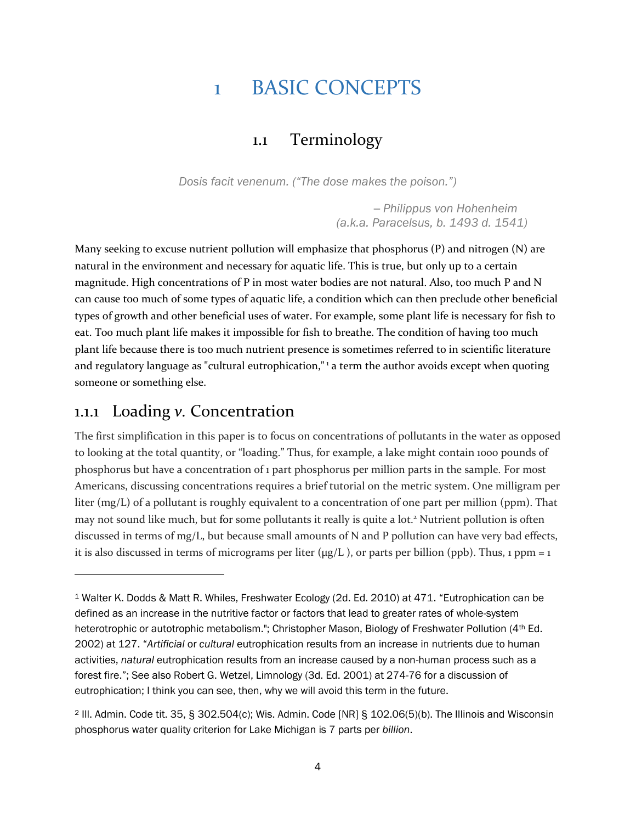### 1 BASIC CONCEPTS

#### 1.1 Terminology

*Dosis facit venenum. ("The dose makes the poison.")*

*─ Philippus von Hohenheim (a.k.a. Paracelsus, b. 1493 d. 1541)*

Many seeking to excuse nutrient pollution will emphasize that phosphorus (P) and nitrogen (N) are natural in the environment and necessary for aquatic life. This is true, but only up to a certain magnitude. High concentrations of P in most water bodies are not natural. Also, too much P and N can cause too much of some types of aquatic life, a condition which can then preclude other beneficial types of growth and other beneficial uses of water. For example, some plant life is necessary for fish to eat. Too much plant life makes it impossible for fish to breathe. The condition of having too much plant life because there is too much nutrient presence is sometimes referred to in scientific literature and regulatory language as "cultural eutrophication," <sup>1</sup> a term the author avoids except when quoting someone or something else.

#### 1.1.1 Loading *v.* Concentration

 $\overline{a}$ 

The first simplification in this paper is to focus on concentrations of pollutants in the water as opposed to looking at the total quantity, or "loading." Thus, for example, a lake might contain 1000 pounds of phosphorus but have a concentration of 1 part phosphorus per million parts in the sample. For most Americans, discussing concentrations requires a brief tutorial on the metric system. One milligram per liter (mg/L) of a pollutant is roughly equivalent to a concentration of one part per million (ppm). That may not sound like much, but for some pollutants it really is quite a lot.<sup>2</sup> Nutrient pollution is often discussed in terms of mg/L, but because small amounts of N and P pollution can have very bad effects, it is also discussed in terms of micrograms per liter ( $\mu$ g/L), or parts per billion (ppb). Thus, 1 ppm = 1

<sup>1</sup> Walter K. Dodds & Matt R. Whiles, Freshwater Ecology (2d. Ed. 2010) at 471. "Eutrophication can be defined as an increase in the nutritive factor or factors that lead to greater rates of whole-system heterotrophic or autotrophic metabolism."; Christopher Mason, Biology of Freshwater Pollution (4th Ed. 2002) at 127. "*Artificial* or *cultural* eutrophication results from an increase in nutrients due to human activities, *natural* eutrophication results from an increase caused by a non-human process such as a forest fire."; See also Robert G. Wetzel, Limnology (3d. Ed. 2001) at 274-76 for a discussion of eutrophication; I think you can see, then, why we will avoid this term in the future.

<sup>2</sup> Ill. Admin. Code tit. 35, § 302.504(c); Wis. Admin. Code [NR] § 102.06(5)(b). The Illinois and Wisconsin phosphorus water quality criterion for Lake Michigan is 7 parts per *billion*.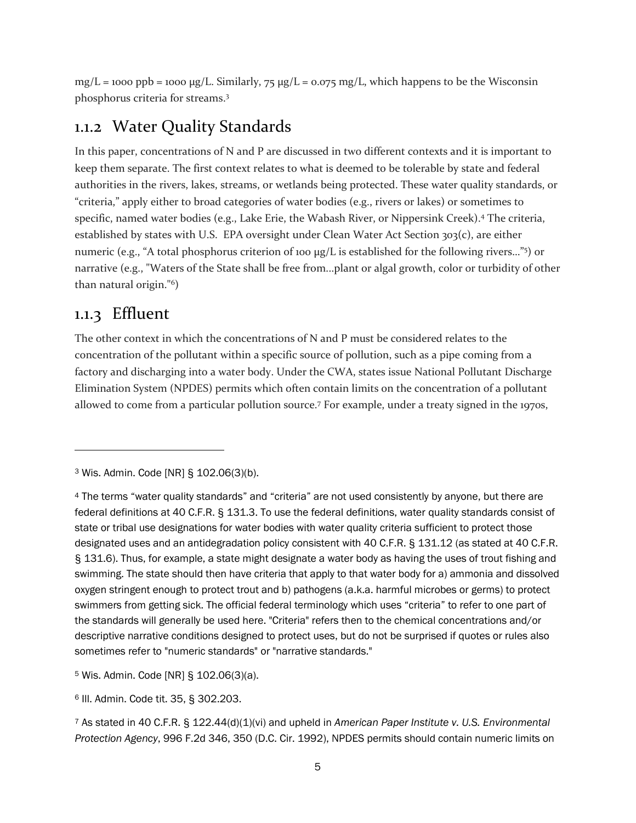$mg/L = 1000$  ppb = 1000  $\mu g/L$ . Similarly, 75  $\mu g/L = 0.075$  mg/L, which happens to be the Wisconsin phosphorus criteria for streams. 3

### 1.1.2 Water Quality Standards

In this paper, concentrations of N and P are discussed in two different contexts and it is important to keep them separate. The first context relates to what is deemed to be tolerable by state and federal authorities in the rivers, lakes, streams, or wetlands being protected. These water quality standards, or "criteria," apply either to broad categories of water bodies (e.g., rivers or lakes) or sometimes to specific, named water bodies (e.g., Lake Erie, the Wabash River, or Nippersink Creek). <sup>4</sup> The criteria, established by states with U.S. EPA oversight under Clean Water Act Section 303(c), are either numeric (e.g., "A total phosphorus criterion of 100 μg/L is established for the following rivers..."<sup>5</sup>) or narrative (e.g., "Waters of the State shall be free from...plant or algal growth, color or turbidity of other than natural origin."<sup>6</sup> )

#### 1.1.3 Effluent

 $\overline{a}$ 

The other context in which the concentrations of N and P must be considered relates to the concentration of the pollutant within a specific source of pollution, such as a pipe coming from a factory and discharging into a water body. Under the CWA, states issue National Pollutant Discharge Elimination System (NPDES) permits which often contain limits on the concentration of a pollutant allowed to come from a particular pollution source.<sup>7</sup> For example, under a treaty signed in the 1970s,

<sup>5</sup> Wis. Admin. Code [NR] § 102.06(3)(a).

<sup>6</sup> Ill. Admin. Code tit. 35, § 302.203.

<sup>7</sup> As stated in 40 C.F.R. § 122.44(d)(1)(vi) and upheld in *American Paper Institute v. U.S. Environmental Protection Agency*, 996 F.2d 346, 350 (D.C. Cir. 1992), NPDES permits should contain numeric limits on

<sup>3</sup> Wis. Admin. Code [NR] § 102.06(3)(b).

<sup>4</sup> The terms "water quality standards" and "criteria" are not used consistently by anyone, but there are federal definitions at 40 C.F.R. § 131.3. To use the federal definitions, water quality standards consist of state or tribal use designations for water bodies with water quality criteria sufficient to protect those designated uses and an antidegradation policy consistent with 40 C.F.R. § 131.12 (as stated at 40 C.F.R. § 131.6). Thus, for example, a state might designate a water body as having the uses of trout fishing and swimming. The state should then have criteria that apply to that water body for a) ammonia and dissolved oxygen stringent enough to protect trout and b) pathogens (a.k.a. harmful microbes or germs) to protect swimmers from getting sick. The official federal terminology which uses "criteria" to refer to one part of the standards will generally be used here. "Criteria" refers then to the chemical concentrations and/or descriptive narrative conditions designed to protect uses, but do not be surprised if quotes or rules also sometimes refer to "numeric standards" or "narrative standards."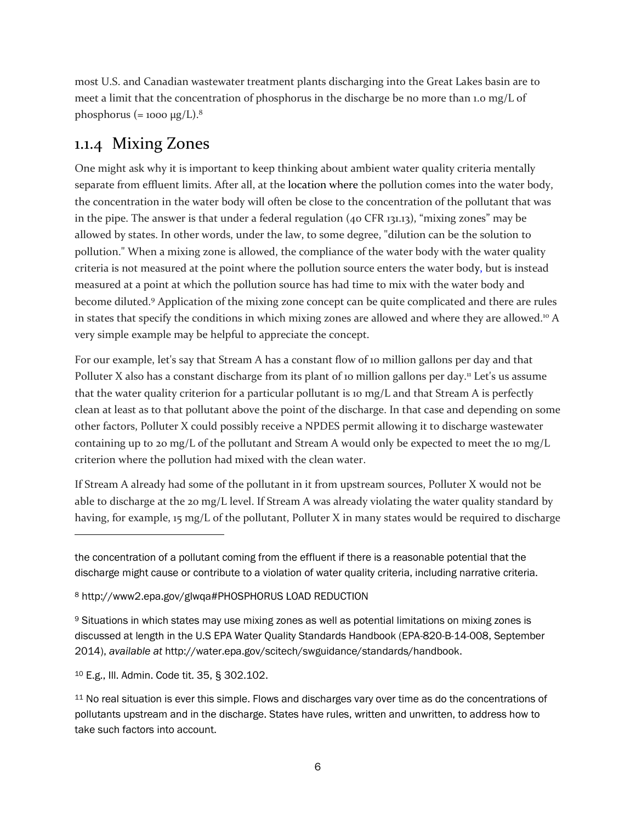most U.S. and Canadian wastewater treatment plants discharging into the Great Lakes basin are to meet a limit that the concentration of phosphorus in the discharge be no more than 1.0 mg/L of phosphorus (= 1000 μg/L).<sup>8</sup>

### 1.1.4 Mixing Zones

One might ask why it is important to keep thinking about ambient water quality criteria mentally separate from effluent limits. After all, at the location where the pollution comes into the water body, the concentration in the water body will often be close to the concentration of the pollutant that was in the pipe. The answer is that under a federal regulation (40 CFR 131.13), "mixing zones" may be allowed by states. In other words, under the law, to some degree, "dilution can be the solution to pollution." When a mixing zone is allowed, the compliance of the water body with the water quality criteria is not measured at the point where the pollution source enters the water body, but is instead measured at a point at which the pollution source has had time to mix with the water body and become diluted.<sup>9</sup> Application of the mixing zone concept can be quite complicated and there are rules in states that specify the conditions in which mixing zones are allowed and where they are allowed.<sup>10</sup> A very simple example may be helpful to appreciate the concept.

For our example, let's say that Stream A has a constant flow of 10 million gallons per day and that Polluter X also has a constant discharge from its plant of 10 million gallons per day.<sup>11</sup> Let's us assume that the water quality criterion for a particular pollutant is 10 mg/L and that Stream A is perfectly clean at least as to that pollutant above the point of the discharge. In that case and depending on some other factors, Polluter X could possibly receive a NPDES permit allowing it to discharge wastewater containing up to 20 mg/L of the pollutant and Stream A would only be expected to meet the 10 mg/L criterion where the pollution had mixed with the clean water.

If Stream A already had some of the pollutant in it from upstream sources, Polluter X would not be able to discharge at the 20 mg/L level. If Stream A was already violating the water quality standard by having, for example, 15 mg/L of the pollutant, Polluter X in many states would be required to discharge

the concentration of a pollutant coming from the effluent if there is a reasonable potential that the discharge might cause or contribute to a violation of water quality criteria, including narrative criteria.

<sup>8</sup> http://www2.epa.gov/glwqa#PHOSPHORUS LOAD REDUCTION

<sup>9</sup> Situations in which states may use mixing zones as well as potential limitations on mixing zones is discussed at length in the U.S EPA Water Quality Standards Handbook (EPA-820-B-14-008, September 2014), *available at* http://water.epa.gov/scitech/swguidance/standards/handbook.

<sup>10</sup> E.g., Ill. Admin. Code tit. 35, § 302.102.

<sup>&</sup>lt;sup>11</sup> No real situation is ever this simple. Flows and discharges vary over time as do the concentrations of pollutants upstream and in the discharge. States have rules, written and unwritten, to address how to take such factors into account.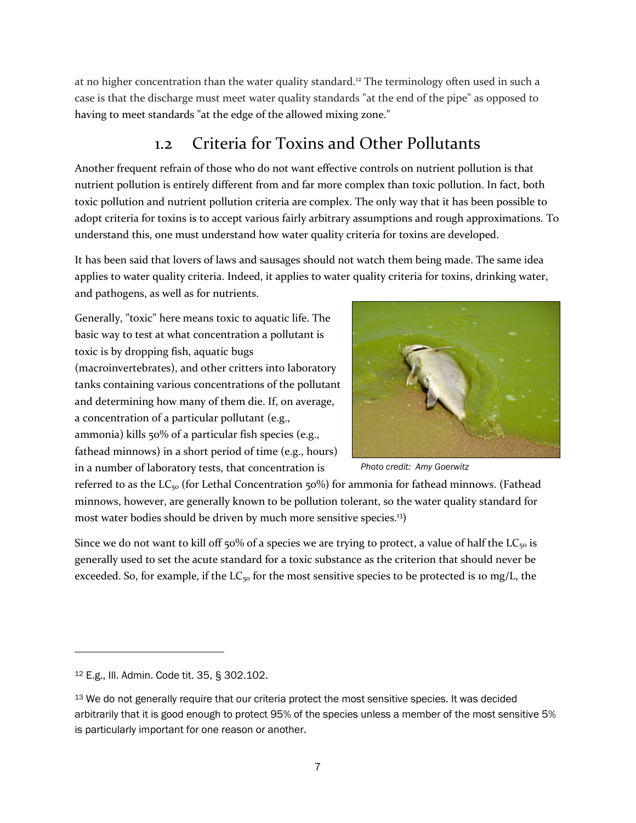at no higher concentration than the water quality standard.<sup>12</sup> The terminology often used in such a case is that the discharge must meet water quality standards "at the end of the pipe" as opposed to having to meet standards "at the edge of the allowed mixing zone."

### 1.2 Criteria for Toxins and Other Pollutants

Another frequent refrain of those who do not want effective controls on nutrient pollution is that nutrient pollution is entirely different from and far more complex than toxic pollution. In fact, both toxic pollution and nutrient pollution criteria are complex. The only way that it has been possible to adopt criteria for toxins is to accept various fairly arbitrary assumptions and rough approximations. To understand this, one must understand how water quality criteria for toxins are developed.

It has been said that lovers of laws and sausages should not watch them being made. The same idea applies to water quality criteria. Indeed, it applies to water quality criteria for toxins, drinking water, and pathogens, as well as for nutrients.

Generally, "toxic" here means toxic to aquatic life. The basic way to test at what concentration a pollutant is toxic is by dropping fish, aquatic bugs (macroinvertebrates), and other critters into laboratory tanks containing various concentrations of the pollutant and determining how many of them die. If, on average, a concentration of a particular pollutant (e.g., ammonia) kills 50% of a particular fish species (e.g., fathead minnows) in a short period of time (e.g., hours) in a number of laboratory tests, that concentration is



*Photo credit: Amy Goerwitz*

referred to as the  $LC_{50}$  (for Lethal Concentration 50%) for ammonia for fathead minnows. (Fathead minnows, however, are generally known to be pollution tolerant, so the water quality standard for most water bodies should be driven by much more sensitive species.<sup>13</sup>)

Since we do not want to kill off 50% of a species we are trying to protect, a value of half the  $LC_{50}$  is generally used to set the acute standard for a toxic substance as the criterion that should never be exceeded. So, for example, if the LC<sub>50</sub> for the most sensitive species to be protected is 10 mg/L, the

<sup>12</sup> E.g., Ill. Admin. Code tit. 35, § 302.102.

<sup>&</sup>lt;sup>13</sup> We do not generally require that our criteria protect the most sensitive species. It was decided arbitrarily that it is good enough to protect 95% of the species unless a member of the most sensitive 5% is particularly important for one reason or another.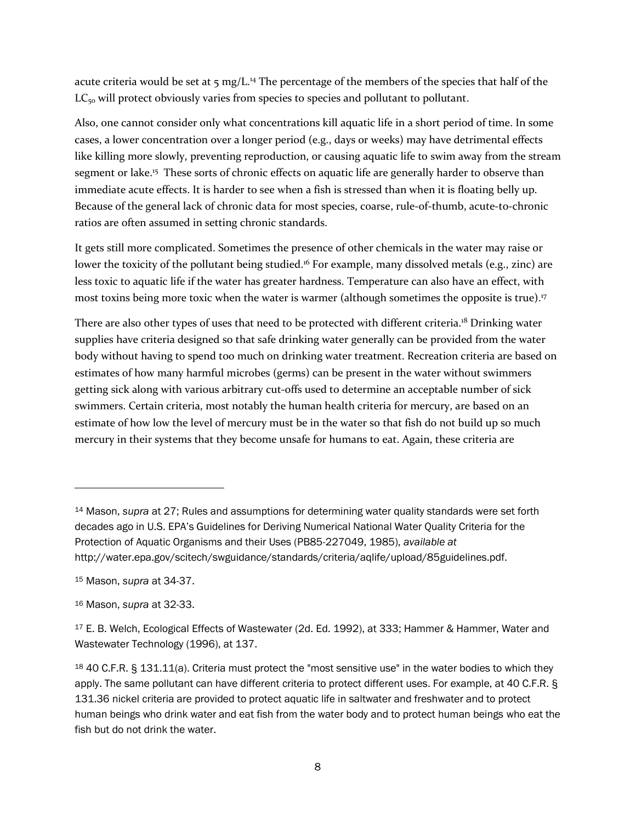acute criteria would be set at  $\frac{1}{2}$  mg/L.<sup>14</sup> The percentage of the members of the species that half of the  $LC_{50}$  will protect obviously varies from species to species and pollutant to pollutant.

Also, one cannot consider only what concentrations kill aquatic life in a short period of time. In some cases, a lower concentration over a longer period (e.g., days or weeks) may have detrimental effects like killing more slowly, preventing reproduction, or causing aquatic life to swim away from the stream segment or lake.<sup>15</sup> These sorts of chronic effects on aquatic life are generally harder to observe than immediate acute effects. It is harder to see when a fish is stressed than when it is floating belly up. Because of the general lack of chronic data for most species, coarse, rule-of-thumb, acute-to-chronic ratios are often assumed in setting chronic standards.

It gets still more complicated. Sometimes the presence of other chemicals in the water may raise or lower the toxicity of the pollutant being studied.<sup>16</sup> For example, many dissolved metals (e.g., zinc) are less toxic to aquatic life if the water has greater hardness. Temperature can also have an effect, with most toxins being more toxic when the water is warmer (although sometimes the opposite is true). 17

There are also other types of uses that need to be protected with different criteria.<sup>18</sup> Drinking water supplies have criteria designed so that safe drinking water generally can be provided from the water body without having to spend too much on drinking water treatment. Recreation criteria are based on estimates of how many harmful microbes (germs) can be present in the water without swimmers getting sick along with various arbitrary cut-offs used to determine an acceptable number of sick swimmers. Certain criteria, most notably the human health criteria for mercury, are based on an estimate of how low the level of mercury must be in the water so that fish do not build up so much mercury in their systems that they become unsafe for humans to eat. Again, these criteria are

<sup>14</sup> Mason, *supra* at 27; Rules and assumptions for determining water quality standards were set forth decades ago in U.S. EPA's Guidelines for Deriving Numerical National Water Quality Criteria for the Protection of Aquatic Organisms and their Uses (PB85-227049, 1985), *available at* http://water.epa.gov/scitech/swguidance/standards/criteria/aqlife/upload/85guidelines.pdf.

<sup>15</sup> Mason, *supra* at 34-37.

<sup>16</sup> Mason, *supra* at 32-33.

<sup>&</sup>lt;sup>17</sup> E. B. Welch, Ecological Effects of Wastewater (2d. Ed. 1992), at 333; Hammer & Hammer, Water and Wastewater Technology (1996), at 137.

<sup>18</sup> 40 C.F.R. § 131.11(a). Criteria must protect the "most sensitive use" in the water bodies to which they apply. The same pollutant can have different criteria to protect different uses. For example, at 40 C.F.R. § 131.36 nickel criteria are provided to protect aquatic life in saltwater and freshwater and to protect human beings who drink water and eat fish from the water body and to protect human beings who eat the fish but do not drink the water.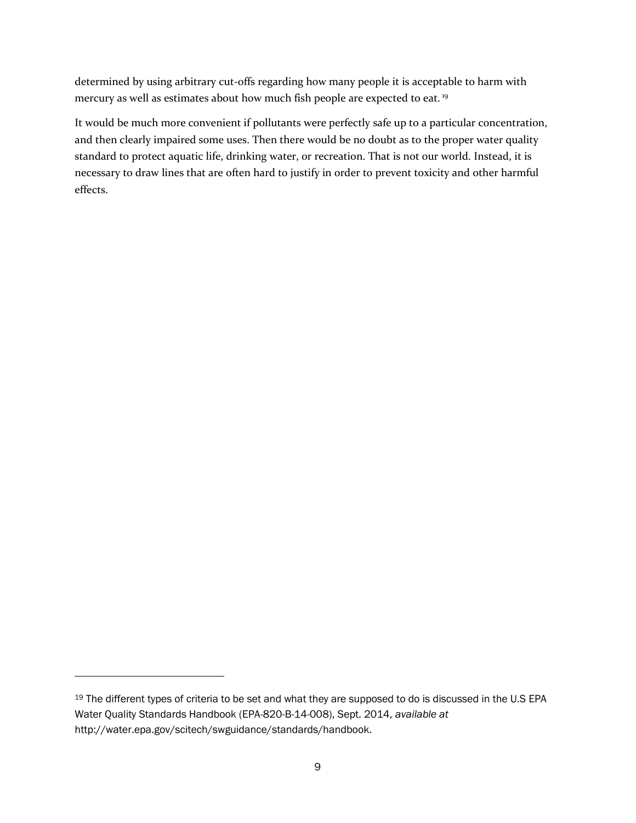determined by using arbitrary cut-offs regarding how many people it is acceptable to harm with mercury as well as estimates about how much fish people are expected to eat.<sup>19</sup>

It would be much more convenient if pollutants were perfectly safe up to a particular concentration, and then clearly impaired some uses. Then there would be no doubt as to the proper water quality standard to protect aquatic life, drinking water, or recreation. That is not our world. Instead, it is necessary to draw lines that are often hard to justify in order to prevent toxicity and other harmful effects.

<sup>&</sup>lt;sup>19</sup> The different types of criteria to be set and what they are supposed to do is discussed in the U.S EPA Water Quality Standards Handbook (EPA-820-B-14-008), Sept. 2014, *available at* http://water.epa.gov/scitech/swguidance/standards/handbook.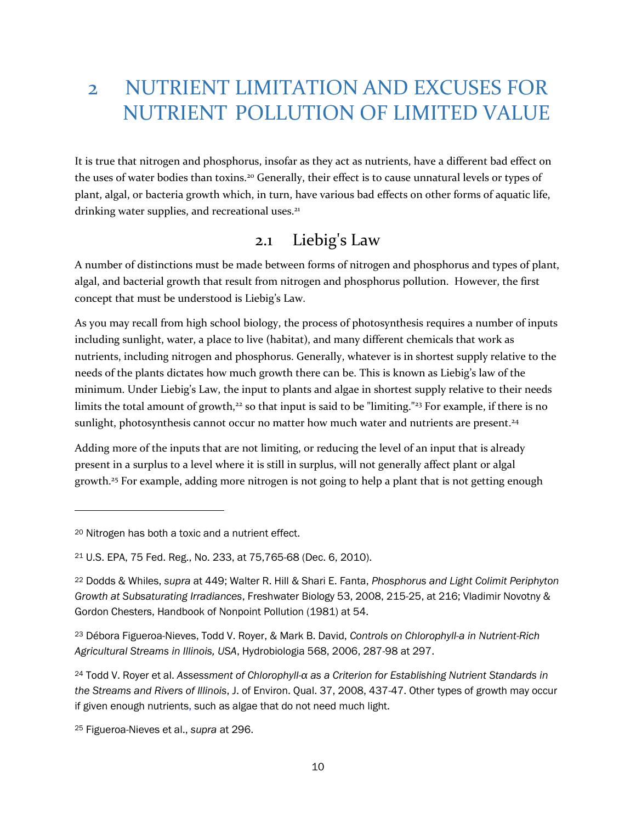## 2 NUTRIENT LIMITATION AND EXCUSES FOR NUTRIENT POLLUTION OF LIMITED VALUE

It is true that nitrogen and phosphorus, insofar as they act as nutrients, have a different bad effect on the uses of water bodies than toxins.<sup>20</sup> Generally, their effect is to cause unnatural levels or types of plant, algal, or bacteria growth which, in turn, have various bad effects on other forms of aquatic life, drinking water supplies, and recreational uses.<sup>21</sup>

#### 2.1 Liebig's Law

A number of distinctions must be made between forms of nitrogen and phosphorus and types of plant, algal, and bacterial growth that result from nitrogen and phosphorus pollution. However, the first concept that must be understood is Liebig's Law.

As you may recall from high school biology, the process of photosynthesis requires a number of inputs including sunlight, water, a place to live (habitat), and many different chemicals that work as nutrients, including nitrogen and phosphorus. Generally, whatever is in shortest supply relative to the needs of the plants dictates how much growth there can be. This is known as Liebig's law of the minimum. Under Liebig's Law, the input to plants and algae in shortest supply relative to their needs limits the total amount of growth,<sup>22</sup> so that input is said to be "limiting."<sup>23</sup> For example, if there is no sunlight, photosynthesis cannot occur no matter how much water and nutrients are present.<sup>24</sup>

Adding more of the inputs that are not limiting, or reducing the level of an input that is already present in a surplus to a level where it is still in surplus, will not generally affect plant or algal growth.<sup>25</sup> For example, adding more nitrogen is not going to help a plant that is not getting enough

<sup>20</sup> Nitrogen has both a toxic and a nutrient effect.

<sup>21</sup> U.S. EPA, 75 Fed. Reg., No. 233, at 75,765-68 (Dec. 6, 2010).

<sup>22</sup> Dodds & Whiles, *supra* at 449; Walter R. Hill & Shari E. Fanta, *Phosphorus and Light Colimit Periphyton Growth at Subsaturating Irradiances*, Freshwater Biology 53, 2008, 215-25, at 216; Vladimir Novotny & Gordon Chesters, Handbook of Nonpoint Pollution (1981) at 54.

<sup>23</sup> Débora Figueroa-Nieves, Todd V. Royer, & Mark B. David, *Controls on Chlorophyll-a in Nutrient-Rich Agricultural Streams in Illinois, USA*, Hydrobiologia 568, 2006, 287-98 at 297.

<sup>24</sup> Todd V. Royer et al. *Assessment of Chlorophyll-α as a Criterion for Establishing Nutrient Standards in the Streams and Rivers of Illinois*, J. of Environ. Qual. 37, 2008, 437-47. Other types of growth may occur if given enough nutrients, such as algae that do not need much light.

<sup>25</sup> Figueroa-Nieves et al., *supra* at 296.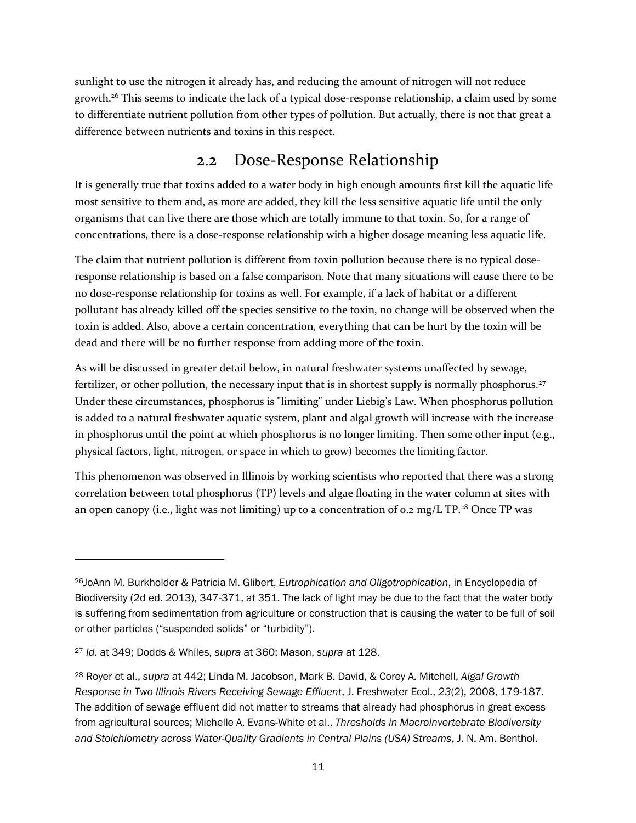sunlight to use the nitrogen it already has, and reducing the amount of nitrogen will not reduce growth.<sup>26</sup> This seems to indicate the lack of a typical dose-response relationship, a claim used by some to differentiate nutrient pollution from other types of pollution. But actually, there is not that great a difference between nutrients and toxins in this respect.

#### 2.2 Dose-Response Relationship

It is generally true that toxins added to a water body in high enough amounts first kill the aquatic life most sensitive to them and, as more are added, they kill the less sensitive aquatic life until the only organisms that can live there are those which are totally immune to that toxin. So, for a range of concentrations, there is a dose-response relationship with a higher dosage meaning less aquatic life.

The claim that nutrient pollution is different from toxin pollution because there is no typical doseresponse relationship is based on a false comparison. Note that many situations will cause there to be no dose-response relationship for toxins as well. For example, if a lack of habitat or a different pollutant has already killed off the species sensitive to the toxin, no change will be observed when the toxin is added. Also, above a certain concentration, everything that can be hurt by the toxin will be dead and there will be no further response from adding more of the toxin.

As will be discussed in greater detail below, in natural freshwater systems unaffected by sewage, fertilizer, or other pollution, the necessary input that is in shortest supply is normally phosphorus.<sup>27</sup> Under these circumstances, phosphorus is "limiting" under Liebig's Law. When phosphorus pollution is added to a natural freshwater aquatic system, plant and algal growth will increase with the increase in phosphorus until the point at which phosphorus is no longer limiting. Then some other input (e.g., physical factors, light, nitrogen, or space in which to grow) becomes the limiting factor.

This phenomenon was observed in Illinois by working scientists who reported that there was a strong correlation between total phosphorus (TP) levels and algae floating in the water column at sites with an open canopy (i.e., light was not limiting) up to a concentration of 0.2 mg/L TP.<sup>28</sup> Once TP was

<sup>26</sup>JoAnn M. Burkholder & Patricia M. Glibert, *Eutrophication and Oligotrophication*, in Encyclopedia of Biodiversity (2d ed. 2013), 347-371, at 351. The lack of light may be due to the fact that the water body is suffering from sedimentation from agriculture or construction that is causing the water to be full of soil or other particles ("suspended solids" or "turbidity").

<sup>27</sup> *Id.* at 349; Dodds & Whiles, *supra* at 360; Mason, *supra* at 128.

<sup>28</sup> Royer et al., *supra* at 442; Linda M. Jacobson, Mark B. David, & Corey A. Mitchell, *Algal Growth Response in Two Illinois Rivers Receiving Sewage Effluent*, J. Freshwater Ecol., *23*(2), 2008, 179-187. The addition of sewage effluent did not matter to streams that already had phosphorus in great excess from agricultural sources; Michelle A. Evans-White et al., *Thresholds in Macroinvertebrate Biodiversity and Stoichiometry across Water-Quality Gradients in Central Plains (USA) Streams*, J. N. Am. Benthol.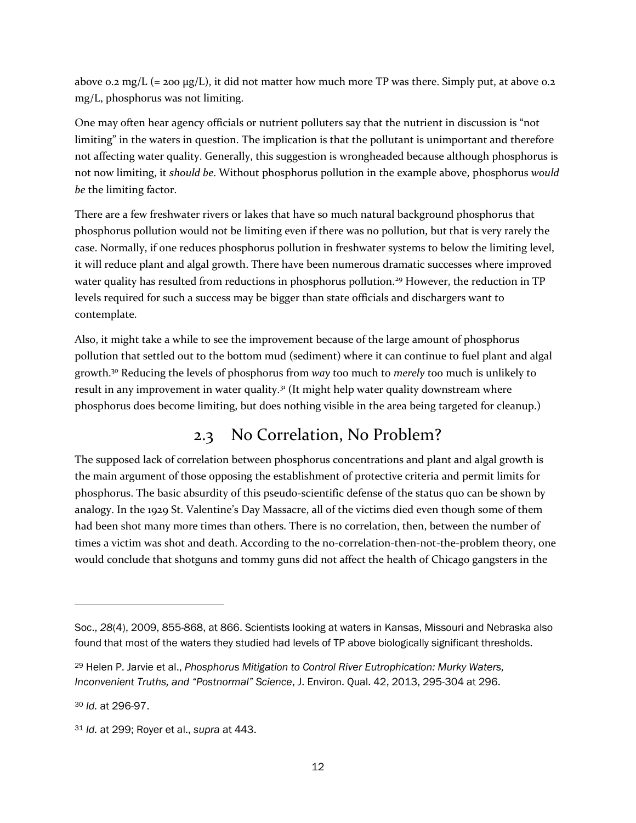above 0.2 mg/L (= 200  $\mu$ g/L), it did not matter how much more TP was there. Simply put, at above 0.2 mg/L, phosphorus was not limiting.

One may often hear agency officials or nutrient polluters say that the nutrient in discussion is "not limiting" in the waters in question. The implication is that the pollutant is unimportant and therefore not affecting water quality. Generally, this suggestion is wrongheaded because although phosphorus is not now limiting, it *should be*. Without phosphorus pollution in the example above, phosphorus *would be* the limiting factor.

There are a few freshwater rivers or lakes that have so much natural background phosphorus that phosphorus pollution would not be limiting even if there was no pollution, but that is very rarely the case. Normally, if one reduces phosphorus pollution in freshwater systems to below the limiting level, it will reduce plant and algal growth. There have been numerous dramatic successes where improved water quality has resulted from reductions in phosphorus pollution.<sup>29</sup> However, the reduction in TP levels required for such a success may be bigger than state officials and dischargers want to contemplate.

Also, it might take a while to see the improvement because of the large amount of phosphorus pollution that settled out to the bottom mud (sediment) where it can continue to fuel plant and algal growth.<sup>30</sup> Reducing the levels of phosphorus from *way* too much to *merely* too much is unlikely to result in any improvement in water quality.<sup>31</sup> (It might help water quality downstream where phosphorus does become limiting, but does nothing visible in the area being targeted for cleanup.)

### 2.3 No Correlation, No Problem?

The supposed lack of correlation between phosphorus concentrations and plant and algal growth is the main argument of those opposing the establishment of protective criteria and permit limits for phosphorus. The basic absurdity of this pseudo-scientific defense of the status quo can be shown by analogy. In the 1929 St. Valentine's Day Massacre, all of the victims died even though some of them had been shot many more times than others. There is no correlation, then, between the number of times a victim was shot and death. According to the no-correlation-then-not-the-problem theory, one would conclude that shotguns and tommy guns did not affect the health of Chicago gangsters in the

Soc., *28*(4), 2009, 855-868, at 866. Scientists looking at waters in Kansas, Missouri and Nebraska also found that most of the waters they studied had levels of TP above biologically significant thresholds.

<sup>29</sup> Helen P. Jarvie et al., *Phosphorus Mitigation to Control River Eutrophication: Murky Waters, Inconvenient Truths, and "Postnormal" Science*, J. Environ. Qual. 42, 2013, 295-304 at 296.

<sup>30</sup> *Id.* at 296-97.

<sup>31</sup> *Id.* at 299; Royer et al., *supra* at 443.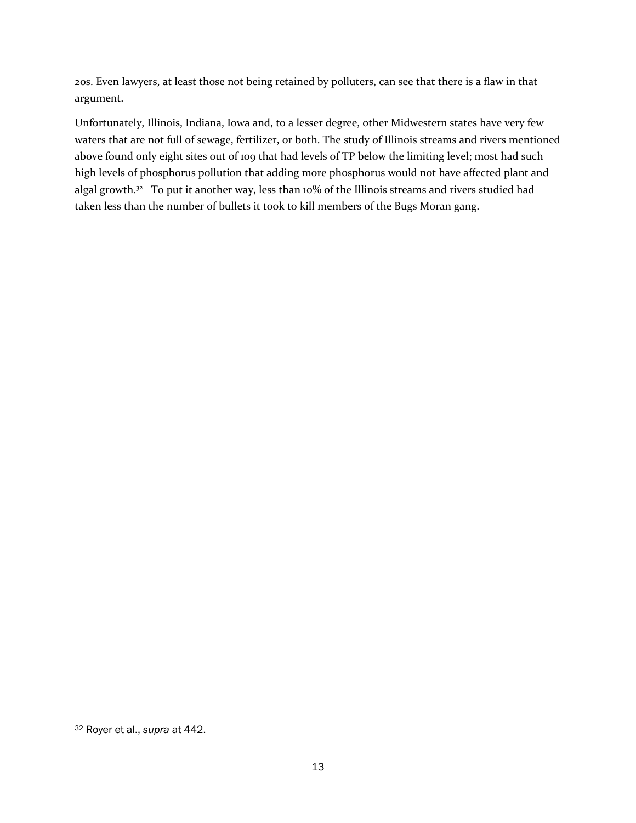20s. Even lawyers, at least those not being retained by polluters, can see that there is a flaw in that argument.

Unfortunately, Illinois, Indiana, Iowa and, to a lesser degree, other Midwestern states have very few waters that are not full of sewage, fertilizer, or both. The study of Illinois streams and rivers mentioned above found only eight sites out of 109 that had levels of TP below the limiting level; most had such high levels of phosphorus pollution that adding more phosphorus would not have affected plant and algal growth.<sup>32</sup> To put it another way, less than 10% of the Illinois streams and rivers studied had taken less than the number of bullets it took to kill members of the Bugs Moran gang.

<sup>32</sup> Royer et al., *supra* at 442.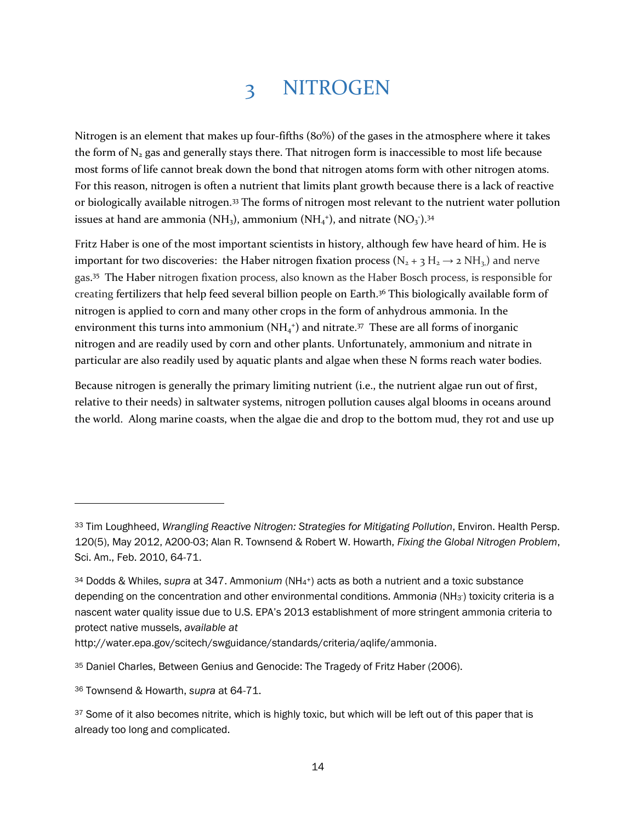### 3 NITROGEN

Nitrogen is an element that makes up four-fifths (80%) of the gases in the atmosphere where it takes the form of  $N<sub>2</sub>$  gas and generally stays there. That nitrogen form is inaccessible to most life because most forms of life cannot break down the bond that nitrogen atoms form with other nitrogen atoms. For this reason, nitrogen is often a nutrient that limits plant growth because there is a lack of reactive or biologically available nitrogen.<sup>33</sup> The forms of nitrogen most relevant to the nutrient water pollution issues at hand are ammonia (NH<sub>3</sub>), ammonium (NH<sub>4</sub><sup>+</sup>), and nitrate (NO<sub>3</sub><sup>-</sup>).<sup>34</sup>

Fritz Haber is one of the most important scientists in history, although few have heard of him. He is important for two discoveries: the Haber nitrogen fixation process ( $N_2 + 3 H_2 \rightarrow 2 NH_3$ ) and nerve gas. <sup>35</sup> The Haber nitrogen fixation process, also known as the Haber Bosch process, is responsible for creating fertilizers that help feed several billion people on Earth.<sup>36</sup> This biologically available form of nitrogen is applied to corn and many other crops in the form of anhydrous ammonia. In the environment this turns into ammonium ( $NH<sub>4</sub>$ <sup>+</sup>) and nitrate.<sup>37</sup> These are all forms of inorganic nitrogen and are readily used by corn and other plants. Unfortunately, ammonium and nitrate in particular are also readily used by aquatic plants and algae when these N forms reach water bodies.

Because nitrogen is generally the primary limiting nutrient (i.e., the nutrient algae run out of first, relative to their needs) in saltwater systems, nitrogen pollution causes algal blooms in oceans around the world. Along marine coasts, when the algae die and drop to the bottom mud, they rot and use up

<sup>33</sup> Tim Loughheed, *Wrangling Reactive Nitrogen: Strategies for Mitigating Pollution*, Environ. Health Persp. 120(5), May 2012, A200-03; Alan R. Townsend & Robert W. Howarth, *Fixing the Global Nitrogen Problem*, Sci. Am., Feb. 2010, 64-71.

<sup>34</sup> Dodds & Whiles, *supra* at 347. Ammoni*um* (NH<sup>4</sup> <sup>+</sup>) acts as both a nutrient and a toxic substance depending on the concentration and other environmental conditions. Ammonia (NH<sub>3</sub>) toxicity criteria is a nascent water quality issue due to U.S. EPA's 2013 establishment of more stringent ammonia criteria to protect native mussels, *available at* 

http://water.epa.gov/scitech/swguidance/standards/criteria/aqlife/ammonia.

<sup>35</sup> Daniel Charles, Between Genius and Genocide: The Tragedy of Fritz Haber (2006).

<sup>36</sup> Townsend & Howarth, *supra* at 64-71.

<sup>37</sup> Some of it also becomes nitrite, which is highly toxic, but which will be left out of this paper that is already too long and complicated.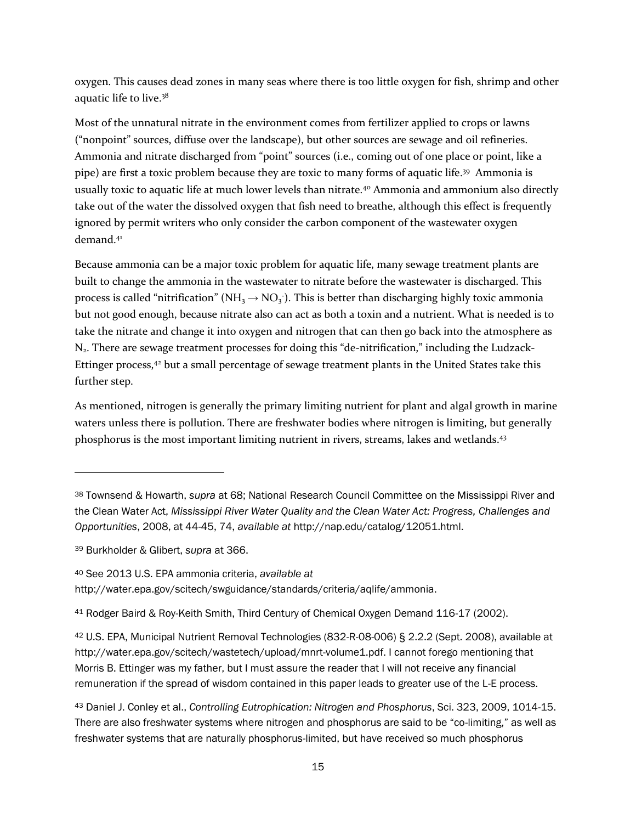oxygen. This causes dead zones in many seas where there is too little oxygen for fish, shrimp and other aquatic life to live.<sup>38</sup>

Most of the unnatural nitrate in the environment comes from fertilizer applied to crops or lawns ("nonpoint" sources, diffuse over the landscape), but other sources are sewage and oil refineries. Ammonia and nitrate discharged from "point" sources (i.e., coming out of one place or point, like a pipe) are first a toxic problem because they are toxic to many forms of aquatic life.<sup>39</sup> Ammonia is usually toxic to aquatic life at much lower levels than nitrate.<sup>40</sup> Ammonia and ammonium also directly take out of the water the dissolved oxygen that fish need to breathe, although this effect is frequently ignored by permit writers who only consider the carbon component of the wastewater oxygen demand.<sup>41</sup>

Because ammonia can be a major toxic problem for aquatic life, many sewage treatment plants are built to change the ammonia in the wastewater to nitrate before the wastewater is discharged. This process is called "nitrification" ( $NH_3 \rightarrow NO_3$ ). This is better than discharging highly toxic ammonia but not good enough, because nitrate also can act as both a toxin and a nutrient. What is needed is to take the nitrate and change it into oxygen and nitrogen that can then go back into the atmosphere as N2. There are sewage treatment processes for doing this "de-nitrification," including the Ludzack-Ettinger process,<sup>42</sup> but a small percentage of sewage treatment plants in the United States take this further step.

As mentioned, nitrogen is generally the primary limiting nutrient for plant and algal growth in marine waters unless there is pollution. There are freshwater bodies where nitrogen is limiting, but generally phosphorus is the most important limiting nutrient in rivers, streams, lakes and wetlands.<sup>43</sup>

 $\overline{a}$ 

<sup>40</sup> See 2013 U.S. EPA ammonia criteria, *available at* 

<sup>38</sup> Townsend & Howarth, *supra* at 68; National Research Council Committee on the Mississippi River and the Clean Water Act, *Mississippi River Water Quality and the Clean Water Act: Progress, Challenges and Opportunities*, 2008, at 44-45, 74, *available at* http://nap.edu/catalog/12051.html.

<sup>39</sup> Burkholder & Glibert, *supra* at 366.

http://water.epa.gov/scitech/swguidance/standards/criteria/aqlife/ammonia.

<sup>41</sup> Rodger Baird & Roy-Keith Smith, Third Century of Chemical Oxygen Demand 116-17 (2002).

<sup>42</sup> U.S. EPA, Municipal Nutrient Removal Technologies (832-R-08-006) § 2.2.2 (Sept. 2008), available at http://water.epa.gov/scitech/wastetech/upload/mnrt-volume1.pdf. I cannot forego mentioning that Morris B. Ettinger was my father, but I must assure the reader that I will not receive any financial remuneration if the spread of wisdom contained in this paper leads to greater use of the L-E process.

<sup>43</sup> Daniel J. Conley et al., *Controlling Eutrophication: Nitrogen and Phosphorus*, Sci. 323, 2009, 1014-15. There are also freshwater systems where nitrogen and phosphorus are said to be "co-limiting," as well as freshwater systems that are naturally phosphorus-limited, but have received so much phosphorus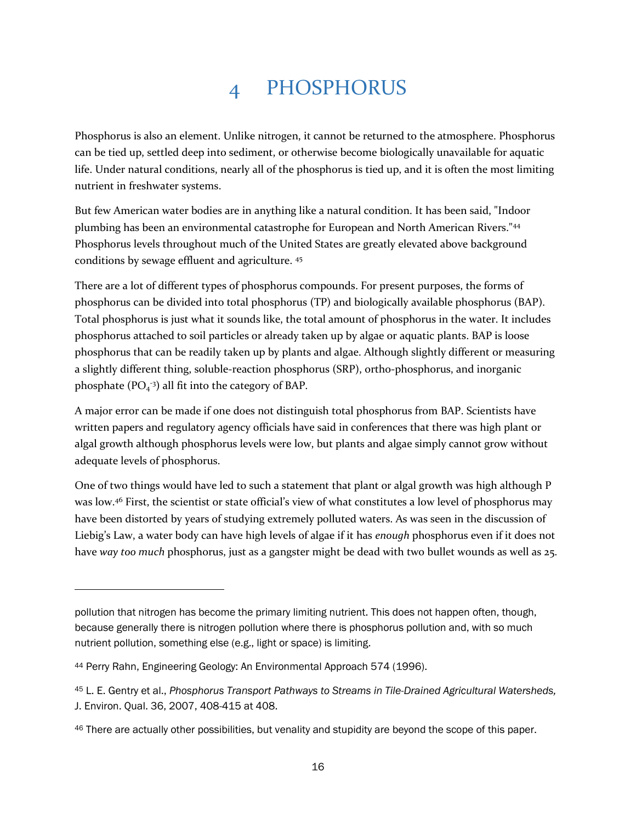## 4 PHOSPHORUS

Phosphorus is also an element. Unlike nitrogen, it cannot be returned to the atmosphere. Phosphorus can be tied up, settled deep into sediment, or otherwise become biologically unavailable for aquatic life. Under natural conditions, nearly all of the phosphorus is tied up, and it is often the most limiting nutrient in freshwater systems.

But few American water bodies are in anything like a natural condition. It has been said, "Indoor plumbing has been an environmental catastrophe for European and North American Rivers."<sup>44</sup> Phosphorus levels throughout much of the United States are greatly elevated above background conditions by sewage effluent and agriculture. <sup>45</sup>

There are a lot of different types of phosphorus compounds. For present purposes, the forms of phosphorus can be divided into total phosphorus (TP) and biologically available phosphorus (BAP). Total phosphorus is just what it sounds like, the total amount of phosphorus in the water. It includes phosphorus attached to soil particles or already taken up by algae or aquatic plants. BAP is loose phosphorus that can be readily taken up by plants and algae. Although slightly different or measuring a slightly different thing, soluble-reaction phosphorus (SRP), ortho-phosphorus, and inorganic phosphate  $(PO<sub>4</sub><sup>-3</sup>)$  all fit into the category of BAP.

A major error can be made if one does not distinguish total phosphorus from BAP. Scientists have written papers and regulatory agency officials have said in conferences that there was high plant or algal growth although phosphorus levels were low, but plants and algae simply cannot grow without adequate levels of phosphorus.

One of two things would have led to such a statement that plant or algal growth was high although P was low.<sup>46</sup> First, the scientist or state official's view of what constitutes a low level of phosphorus may have been distorted by years of studying extremely polluted waters. As was seen in the discussion of Liebig's Law, a water body can have high levels of algae if it has *enough* phosphorus even if it does not have *way too much* phosphorus, just as a gangster might be dead with two bullet wounds as well as 25.

pollution that nitrogen has become the primary limiting nutrient. This does not happen often, though, because generally there is nitrogen pollution where there is phosphorus pollution and, with so much nutrient pollution, something else (e.g., light or space) is limiting.

<sup>44</sup> Perry Rahn, Engineering Geology: An Environmental Approach 574 (1996).

<sup>45</sup> L. E. Gentry et al., *Phosphorus Transport Pathways to Streams in Tile-Drained Agricultural Watersheds,*  J. Environ. Qual. 36, 2007, 408-415 at 408.

<sup>46</sup> There are actually other possibilities, but venality and stupidity are beyond the scope of this paper.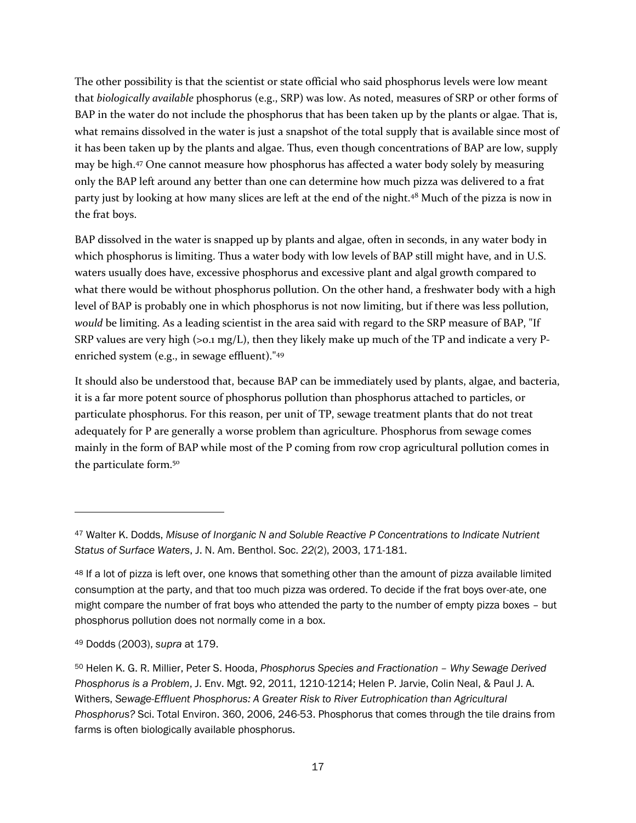The other possibility is that the scientist or state official who said phosphorus levels were low meant that *biologically available* phosphorus (e.g., SRP) was low. As noted, measures of SRP or other forms of BAP in the water do not include the phosphorus that has been taken up by the plants or algae. That is, what remains dissolved in the water is just a snapshot of the total supply that is available since most of it has been taken up by the plants and algae. Thus, even though concentrations of BAP are low, supply may be high.<sup>47</sup> One cannot measure how phosphorus has affected a water body solely by measuring only the BAP left around any better than one can determine how much pizza was delivered to a frat party just by looking at how many slices are left at the end of the night.<sup>48</sup> Much of the pizza is now in the frat boys.

BAP dissolved in the water is snapped up by plants and algae, often in seconds, in any water body in which phosphorus is limiting. Thus a water body with low levels of BAP still might have, and in U.S. waters usually does have, excessive phosphorus and excessive plant and algal growth compared to what there would be without phosphorus pollution. On the other hand, a freshwater body with a high level of BAP is probably one in which phosphorus is not now limiting, but if there was less pollution, *would* be limiting. As a leading scientist in the area said with regard to the SRP measure of BAP, "If SRP values are very high (>0.1 mg/L), then they likely make up much of the TP and indicate a very Penriched system (e.g., in sewage effluent)."<sup>49</sup>

It should also be understood that, because BAP can be immediately used by plants, algae, and bacteria, it is a far more potent source of phosphorus pollution than phosphorus attached to particles, or particulate phosphorus. For this reason, per unit of TP, sewage treatment plants that do not treat adequately for P are generally a worse problem than agriculture. Phosphorus from sewage comes mainly in the form of BAP while most of the P coming from row crop agricultural pollution comes in the particulate form.<sup>50</sup>

<sup>47</sup> Walter K. Dodds, *Misuse of Inorganic N and Soluble Reactive P Concentrations to Indicate Nutrient Status of Surface Waters*, J. N. Am. Benthol. Soc. *22*(2), 2003, 171-181.

<sup>48</sup> If a lot of pizza is left over, one knows that something other than the amount of pizza available limited consumption at the party, and that too much pizza was ordered. To decide if the frat boys over-ate, one might compare the number of frat boys who attended the party to the number of empty pizza boxes – but phosphorus pollution does not normally come in a box.

<sup>49</sup> Dodds (2003), *supra* at 179.

<sup>50</sup> Helen K. G. R. Millier, Peter S. Hooda, *Phosphorus Species and Fractionation – Why Sewage Derived Phosphorus is a Problem*, J. Env. Mgt. 92, 2011, 1210-1214; Helen P. Jarvie, Colin Neal, & Paul J. A. Withers, *Sewage-Effluent Phosphorus: A Greater Risk to River Eutrophication than Agricultural Phosphorus?* Sci. Total Environ. 360, 2006, 246-53. Phosphorus that comes through the tile drains from farms is often biologically available phosphorus.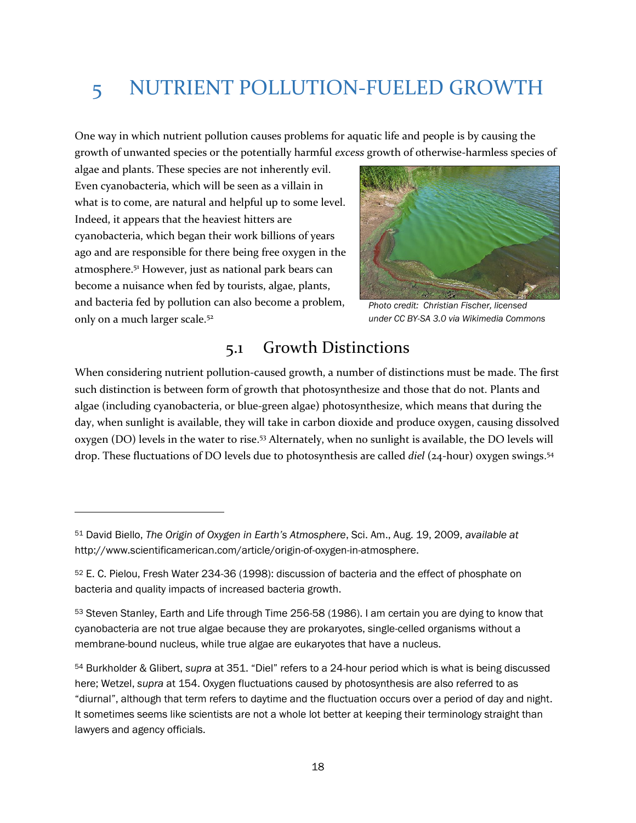# 5 NUTRIENT POLLUTION-FUELED GROWTH

One way in which nutrient pollution causes problems for aquatic life and people is by causing the growth of unwanted species or the potentially harmful *excess* growth of otherwise-harmless species of

algae and plants. These species are not inherently evil. Even cyanobacteria, which will be seen as a villain in what is to come, are natural and helpful up to some level. Indeed, it appears that the heaviest hitters are cyanobacteria, which began their work billions of years ago and are responsible for there being free oxygen in the atmosphere.<sup>51</sup> However, just as national park bears can become a nuisance when fed by tourists, algae, plants, and bacteria fed by pollution can also become a problem, only on a much larger scale.<sup>52</sup>

 $\overline{a}$ 



*Photo credit: Christian Fischer, licensed under CC BY-SA 3.0 via Wikimedia Commons*

#### 5.1 Growth Distinctions

When considering nutrient pollution-caused growth, a number of distinctions must be made. The first such distinction is between form of growth that photosynthesize and those that do not. Plants and algae (including cyanobacteria, or blue-green algae) photosynthesize, which means that during the day, when sunlight is available, they will take in carbon dioxide and produce oxygen, causing dissolved oxygen (DO) levels in the water to rise. <sup>53</sup> Alternately, when no sunlight is available, the DO levels will drop. These fluctuations of DO levels due to photosynthesis are called *diel* (24-hour) oxygen swings. 54

<sup>51</sup> David Biello, *The Origin of Oxygen in Earth's Atmosphere*, Sci. Am., Aug. 19, 2009, *available at* http://www.scientificamerican.com/article/origin-of-oxygen-in-atmosphere.

<sup>52</sup> E. C. Pielou, Fresh Water 234-36 (1998): discussion of bacteria and the effect of phosphate on bacteria and quality impacts of increased bacteria growth.

<sup>53</sup> Steven Stanley, Earth and Life through Time 256-58 (1986). I am certain you are dying to know that cyanobacteria are not true algae because they are prokaryotes, single-celled organisms without a membrane-bound nucleus, while true algae are eukaryotes that have a nucleus.

<sup>54</sup> Burkholder & Glibert, *supra* at 351. "Diel" refers to a 24-hour period which is what is being discussed here; Wetzel, *supra* at 154. Oxygen fluctuations caused by photosynthesis are also referred to as "diurnal", although that term refers to daytime and the fluctuation occurs over a period of day and night. It sometimes seems like scientists are not a whole lot better at keeping their terminology straight than lawyers and agency officials.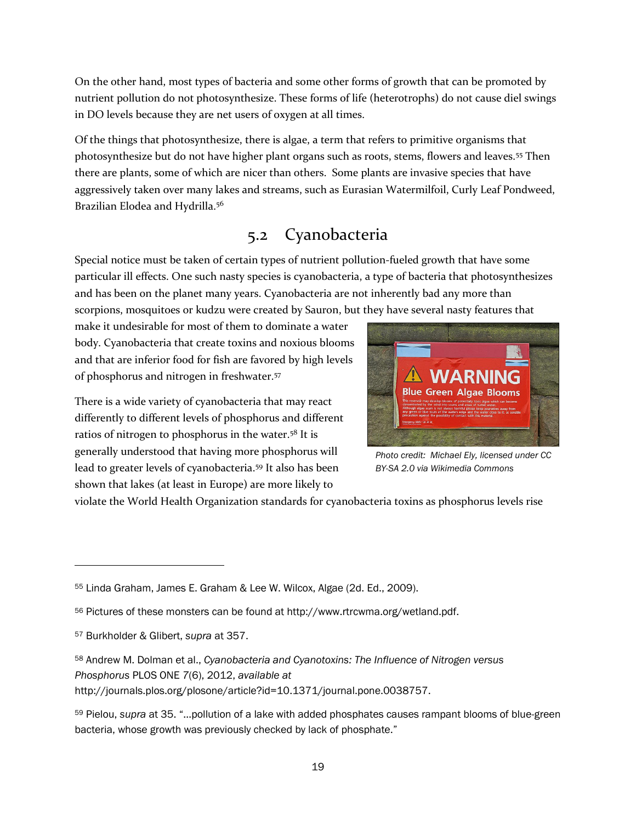On the other hand, most types of bacteria and some other forms of growth that can be promoted by nutrient pollution do not photosynthesize. These forms of life (heterotrophs) do not cause diel swings in DO levels because they are net users of oxygen at all times.

Of the things that photosynthesize, there is algae, a term that refers to primitive organisms that photosynthesize but do not have higher plant organs such as roots, stems, flowers and leaves.<sup>55</sup> Then there are plants, some of which are nicer than others. Some plants are invasive species that have aggressively taken over many lakes and streams, such as Eurasian Watermilfoil, Curly Leaf Pondweed, Brazilian Elodea and Hydrilla.<sup>56</sup>

#### 5.2 Cyanobacteria

Special notice must be taken of certain types of nutrient pollution-fueled growth that have some particular ill effects. One such nasty species is cyanobacteria, a type of bacteria that photosynthesizes and has been on the planet many years. Cyanobacteria are not inherently bad any more than scorpions, mosquitoes or kudzu were created by Sauron, but they have several nasty features that

make it undesirable for most of them to dominate a water body. Cyanobacteria that create toxins and noxious blooms and that are inferior food for fish are favored by high levels of phosphorus and nitrogen in freshwater.<sup>57</sup>

There is a wide variety of cyanobacteria that may react differently to different levels of phosphorus and different ratios of nitrogen to phosphorus in the water.<sup>58</sup> It is generally understood that having more phosphorus will lead to greater levels of cyanobacteria.<sup>59</sup> It also has been shown that lakes (at least in Europe) are more likely to



*Photo credit: Michael Ely, licensed under CC BY-SA 2.0 via Wikimedia Commons*

violate the World Health Organization standards for cyanobacteria toxins as phosphorus levels rise

 $\overline{a}$ 

http://journals.plos.org/plosone/article?id=10.1371/journal.pone.0038757.

<sup>55</sup> Linda Graham, James E. Graham & Lee W. Wilcox, Algae (2d. Ed., 2009).

<sup>56</sup> Pictures of these monsters can be found at http://www.rtrcwma.org/wetland.pdf.

<sup>57</sup> Burkholder & Glibert, *supra* at 357.

<sup>58</sup> Andrew M. Dolman et al., *Cyanobacteria and Cyanotoxins: The Influence of Nitrogen versus Phosphorus* PLOS ONE *7*(6), 2012, *available at*

<sup>59</sup> Pielou, *supra* at 35. "…pollution of a lake with added phosphates causes rampant blooms of blue-green bacteria, whose growth was previously checked by lack of phosphate."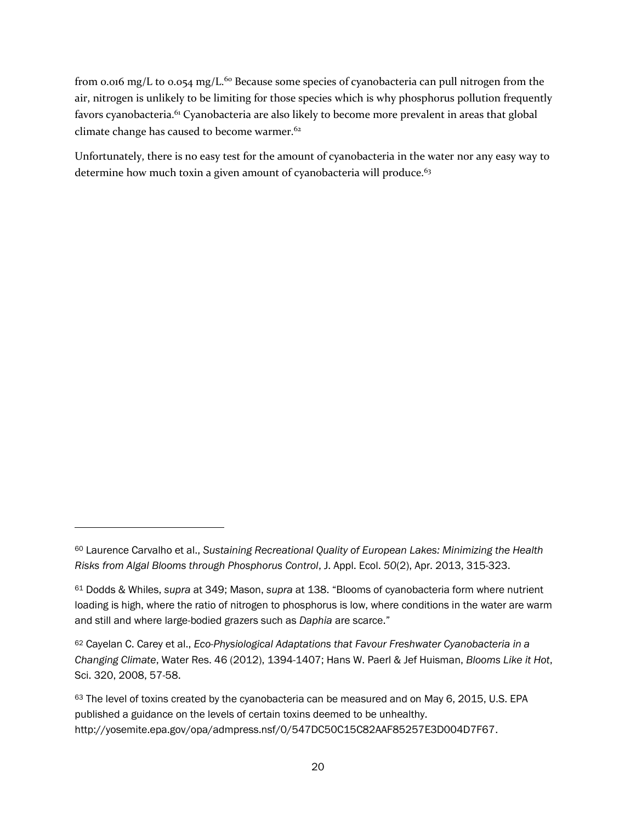from 0.016 mg/L to 0.054 mg/L.<sup>60</sup> Because some species of cyanobacteria can pull nitrogen from the air, nitrogen is unlikely to be limiting for those species which is why phosphorus pollution frequently favors cyanobacteria.<sup>61</sup> Cyanobacteria are also likely to become more prevalent in areas that global climate change has caused to become warmer.<sup>62</sup>

Unfortunately, there is no easy test for the amount of cyanobacteria in the water nor any easy way to determine how much toxin a given amount of cyanobacteria will produce.<sup>63</sup>

l

<sup>60</sup> Laurence Carvalho et al., *Sustaining Recreational Quality of European Lakes: Minimizing the Health Risks from Algal Blooms through Phosphorus Control*, J. Appl. Ecol. *50*(2), Apr. 2013, 315-323.

<sup>61</sup> Dodds & Whiles, *supra* at 349; Mason, *supra* at 138. "Blooms of cyanobacteria form where nutrient loading is high, where the ratio of nitrogen to phosphorus is low, where conditions in the water are warm and still and where large-bodied grazers such as *Daphia* are scarce."

<sup>62</sup> Cayelan C. Carey et al., *Eco-Physiological Adaptations that Favour Freshwater Cyanobacteria in a Changing Climate*, Water Res. 46 (2012), 1394-1407; Hans W. Paerl & Jef Huisman, *Blooms Like it Hot*, Sci. 320, 2008, 57-58.

<sup>63</sup> The level of toxins created by the cyanobacteria can be measured and on May 6, 2015, U.S. EPA published a guidance on the levels of certain toxins deemed to be unhealthy. http://yosemite.epa.gov/opa/admpress.nsf/0/547DC50C15C82AAF85257E3D004D7F67.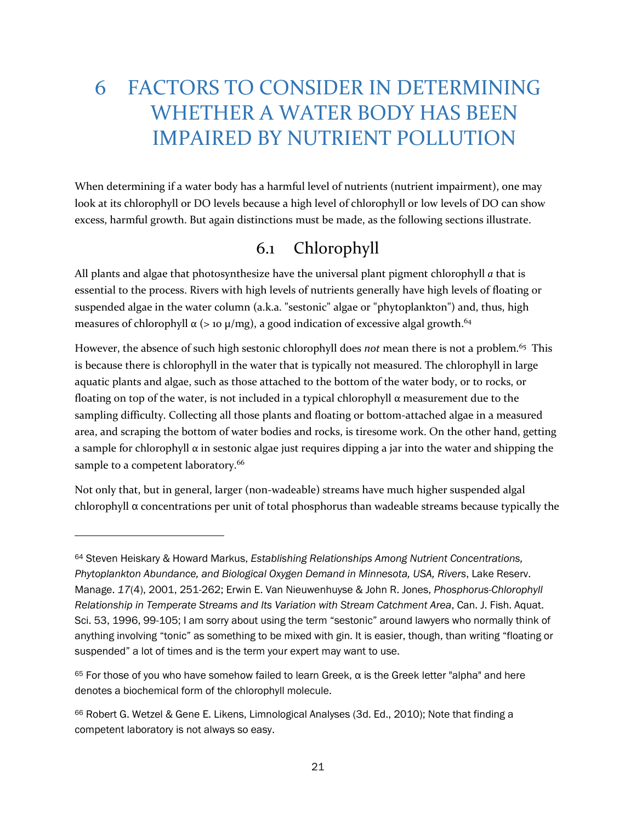## 6 FACTORS TO CONSIDER IN DETERMINING WHETHER A WATER BODY HAS BEEN IMPAIRED BY NUTRIENT POLLUTION

When determining if a water body has a harmful level of nutrients (nutrient impairment), one may look at its chlorophyll or DO levels because a high level of chlorophyll or low levels of DO can show excess, harmful growth. But again distinctions must be made, as the following sections illustrate.

#### 6.1 Chlorophyll

All plants and algae that photosynthesize have the universal plant pigment chlorophyll *a* that is essential to the process. Rivers with high levels of nutrients generally have high levels of floating or suspended algae in the water column (a.k.a. "sestonic" algae or "phytoplankton") and, thus, high measures of chlorophyll  $\alpha$  (> 10  $\mu$ /mg), a good indication of excessive algal growth.<sup>64</sup>

However, the absence of such high sestonic chlorophyll does *not* mean there is not a problem.<sup>65</sup> This is because there is chlorophyll in the water that is typically not measured. The chlorophyll in large aquatic plants and algae, such as those attached to the bottom of the water body, or to rocks, or floating on top of the water, is not included in a typical chlorophyll  $\alpha$  measurement due to the sampling difficulty. Collecting all those plants and floating or bottom-attached algae in a measured area, and scraping the bottom of water bodies and rocks, is tiresome work. On the other hand, getting a sample for chlorophyll  $\alpha$  in sestonic algae just requires dipping a jar into the water and shipping the sample to a competent laboratory.<sup>66</sup>

Not only that, but in general, larger (non-wadeable) streams have much higher suspended algal chlorophyll α concentrations per unit of total phosphorus than wadeable streams because typically the

<sup>64</sup> Steven Heiskary & Howard Markus, *Establishing Relationships Among Nutrient Concentrations, Phytoplankton Abundance, and Biological Oxygen Demand in Minnesota, USA, Rivers*, Lake Reserv. Manage. *17*(4), 2001, 251-262; Erwin E. Van Nieuwenhuyse & John R. Jones, *Phosphorus-Chlorophyll Relationship in Temperate Streams and Its Variation with Stream Catchment Area*, Can. J. Fish. Aquat. Sci. 53, 1996, 99-105; I am sorry about using the term "sestonic" around lawyers who normally think of anything involving "tonic" as something to be mixed with gin. It is easier, though, than writing "floating or suspended" a lot of times and is the term your expert may want to use.

 $65$  For those of you who have somehow failed to learn Greek, α is the Greek letter "alpha" and here denotes a biochemical form of the chlorophyll molecule.

<sup>66</sup> Robert G. Wetzel & Gene E. Likens, Limnological Analyses (3d. Ed., 2010); Note that finding a competent laboratory is not always so easy.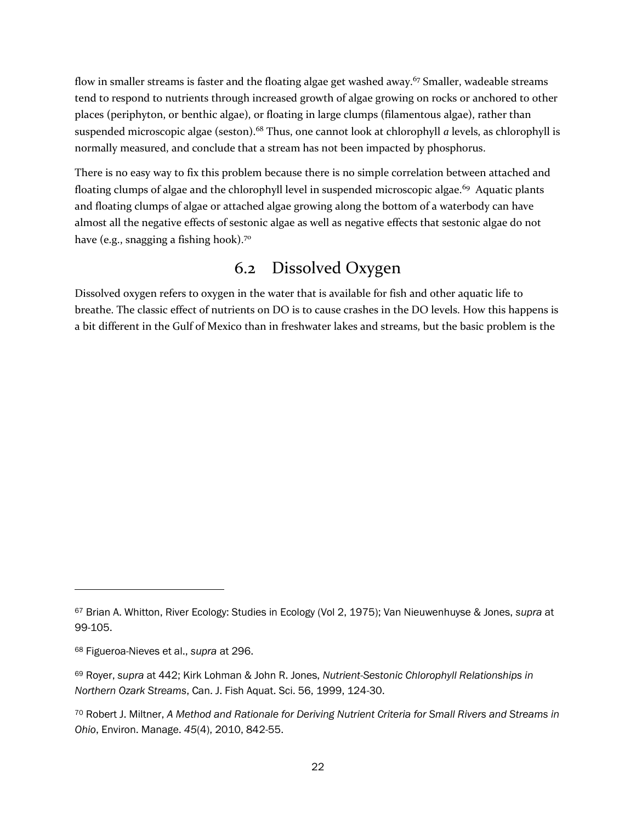flow in smaller streams is faster and the floating algae get washed away.<sup>67</sup> Smaller, wadeable streams tend to respond to nutrients through increased growth of algae growing on rocks or anchored to other places (periphyton, or benthic algae), or floating in large clumps (filamentous algae), rather than suspended microscopic algae (seston).<sup>68</sup> Thus, one cannot look at chlorophyll *a* levels, as chlorophyll is normally measured, and conclude that a stream has not been impacted by phosphorus.

There is no easy way to fix this problem because there is no simple correlation between attached and floating clumps of algae and the chlorophyll level in suspended microscopic algae.<sup>69</sup> Aquatic plants and floating clumps of algae or attached algae growing along the bottom of a waterbody can have almost all the negative effects of sestonic algae as well as negative effects that sestonic algae do not have (e.g., snagging a fishing hook).<sup>70</sup>

#### 6.2 Dissolved Oxygen

Dissolved oxygen refers to oxygen in the water that is available for fish and other aquatic life to breathe. The classic effect of nutrients on DO is to cause crashes in the DO levels. How this happens is a bit different in the Gulf of Mexico than in freshwater lakes and streams, but the basic problem is the

<sup>67</sup> Brian A. Whitton, River Ecology: Studies in Ecology (Vol 2, 1975); Van Nieuwenhuyse & Jones, *supra* at 99-105.

<sup>68</sup> Figueroa-Nieves et al., *supra* at 296.

<sup>69</sup> Royer, *supra* at 442; Kirk Lohman & John R. Jones, *Nutrient-Sestonic Chlorophyll Relationships in Northern Ozark Streams*, Can. J. Fish Aquat. Sci. 56, 1999, 124-30.

<sup>70</sup> Robert J. Miltner, *A Method and Rationale for Deriving Nutrient Criteria for Small Rivers and Streams in Ohio*, Environ. Manage. *45*(4), 2010, 842-55.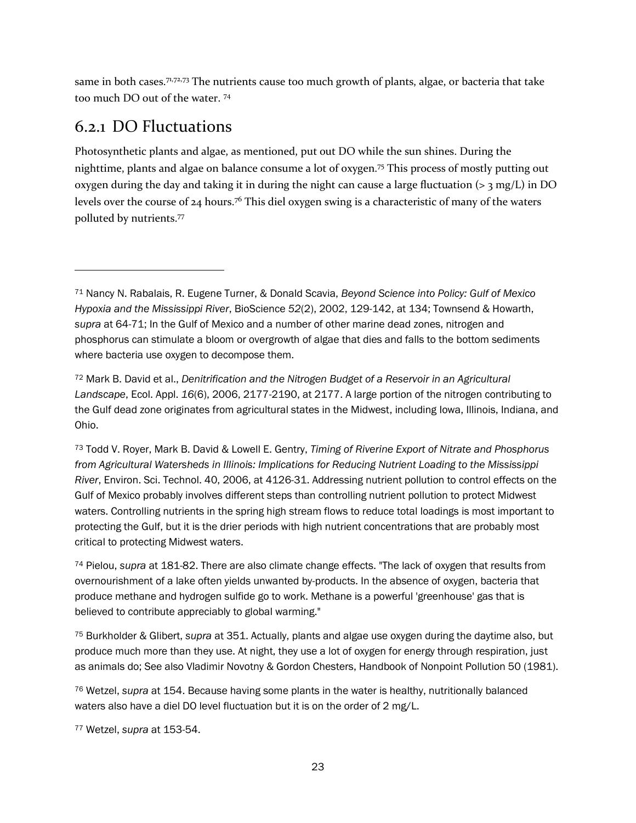same in both cases.<sup>71,72,73</sup> The nutrients cause too much growth of plants, algae, or bacteria that take too much DO out of the water. <sup>74</sup>

### 6.2.1 DO Fluctuations

 $\overline{a}$ 

Photosynthetic plants and algae, as mentioned, put out DO while the sun shines. During the nighttime, plants and algae on balance consume a lot of oxygen.<sup>75</sup> This process of mostly putting out oxygen during the day and taking it in during the night can cause a large fluctuation ( $>$ 3 mg/L) in DO levels over the course of  $24$  hours.<sup>76</sup> This diel oxygen swing is a characteristic of many of the waters polluted by nutrients.<sup>77</sup>

<sup>72</sup> Mark B. David et al., *Denitrification and the Nitrogen Budget of a Reservoir in an Agricultural Landscape*, Ecol. Appl. *16*(6), 2006, 2177-2190, at 2177. A large portion of the nitrogen contributing to the Gulf dead zone originates from agricultural states in the Midwest, including Iowa, Illinois, Indiana, and Ohio.

<sup>73</sup> Todd V. Royer, Mark B. David & Lowell E. Gentry, *Timing of Riverine Export of Nitrate and Phosphorus from Agricultural Watersheds in Illinois: Implications for Reducing Nutrient Loading to the Mississippi River*, Environ. Sci. Technol. 40, 2006, at 4126-31. Addressing nutrient pollution to control effects on the Gulf of Mexico probably involves different steps than controlling nutrient pollution to protect Midwest waters. Controlling nutrients in the spring high stream flows to reduce total loadings is most important to protecting the Gulf, but it is the drier periods with high nutrient concentrations that are probably most critical to protecting Midwest waters.

<sup>74</sup> Pielou, *supra* at 181-82. There are also climate change effects. "The lack of oxygen that results from overnourishment of a lake often yields unwanted by-products. In the absence of oxygen, bacteria that produce methane and hydrogen sulfide go to work. Methane is a powerful 'greenhouse' gas that is believed to contribute appreciably to global warming."

<sup>75</sup> Burkholder & Glibert, *supra* at 351. Actually, plants and algae use oxygen during the daytime also, but produce much more than they use. At night, they use a lot of oxygen for energy through respiration, just as animals do; See also Vladimir Novotny & Gordon Chesters, Handbook of Nonpoint Pollution 50 (1981).

<sup>76</sup> Wetzel, *supra* at 154. Because having some plants in the water is healthy, nutritionally balanced waters also have a diel DO level fluctuation but it is on the order of 2 mg/L.

<sup>77</sup> Wetzel, *supra* at 153-54.

<sup>71</sup> Nancy N. Rabalais, R. Eugene Turner, & Donald Scavia, *Beyond Science into Policy: Gulf of Mexico Hypoxia and the Mississippi River*, BioScience *52*(2), 2002, 129-142, at 134; Townsend & Howarth, *supra* at 64-71; In the Gulf of Mexico and a number of other marine dead zones, nitrogen and phosphorus can stimulate a bloom or overgrowth of algae that dies and falls to the bottom sediments where bacteria use oxygen to decompose them.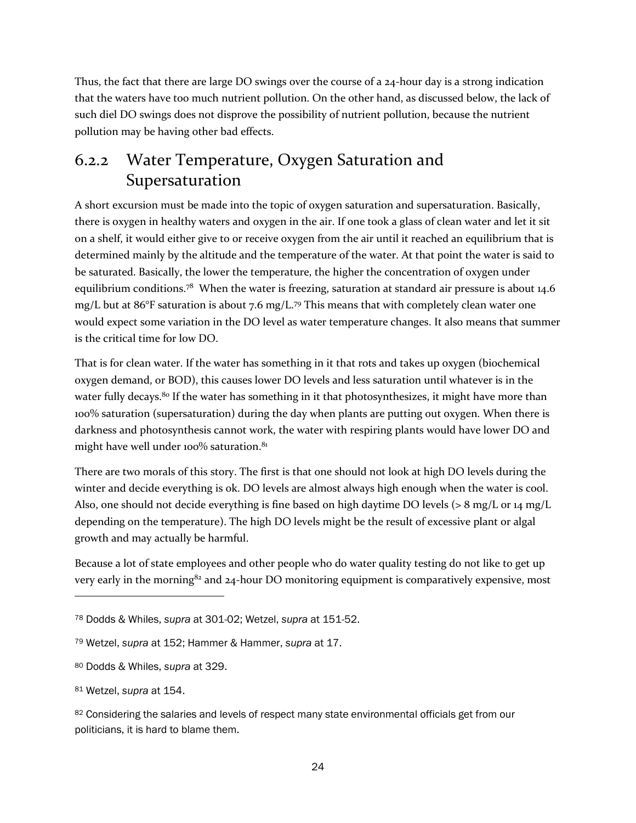Thus, the fact that there are large DO swings over the course of a 24-hour day is a strong indication that the waters have too much nutrient pollution. On the other hand, as discussed below, the lack of such diel DO swings does not disprove the possibility of nutrient pollution, because the nutrient pollution may be having other bad effects.

#### 6.2.2 Water Temperature, Oxygen Saturation and Supersaturation

A short excursion must be made into the topic of oxygen saturation and supersaturation. Basically, there is oxygen in healthy waters and oxygen in the air. If one took a glass of clean water and let it sit on a shelf, it would either give to or receive oxygen from the air until it reached an equilibrium that is determined mainly by the altitude and the temperature of the water. At that point the water is said to be saturated. Basically, the lower the temperature, the higher the concentration of oxygen under equilibrium conditions.<sup>78</sup> When the water is freezing, saturation at standard air pressure is about 14.6 mg/L but at 86°F saturation is about 7.6 mg/L.<sup>79</sup> This means that with completely clean water one would expect some variation in the DO level as water temperature changes. It also means that summer is the critical time for low DO.

That is for clean water. If the water has something in it that rots and takes up oxygen (biochemical oxygen demand, or BOD), this causes lower DO levels and less saturation until whatever is in the water fully decays. <sup>80</sup> If the water has something in it that photosynthesizes, it might have more than 100% saturation (supersaturation) during the day when plants are putting out oxygen. When there is darkness and photosynthesis cannot work, the water with respiring plants would have lower DO and might have well under 100% saturation.<sup>81</sup>

There are two morals of this story. The first is that one should not look at high DO levels during the winter and decide everything is ok. DO levels are almost always high enough when the water is cool. Also, one should not decide everything is fine based on high daytime DO levels ( $> 8 \text{ mg/L}$  or 14 mg/L depending on the temperature). The high DO levels might be the result of excessive plant or algal growth and may actually be harmful.

Because a lot of state employees and other people who do water quality testing do not like to get up very early in the morning $82$  and  $24$ -hour DO monitoring equipment is comparatively expensive, most

<sup>78</sup> Dodds & Whiles, *supra* at 301-02; Wetzel, *supra* at 151-52.

<sup>79</sup> Wetzel, *supra* at 152; Hammer & Hammer, *supra* at 17.

<sup>80</sup> Dodds & Whiles, *supra* at 329.

<sup>81</sup> Wetzel, *supra* at 154.

<sup>82</sup> Considering the salaries and levels of respect many state environmental officials get from our politicians, it is hard to blame them.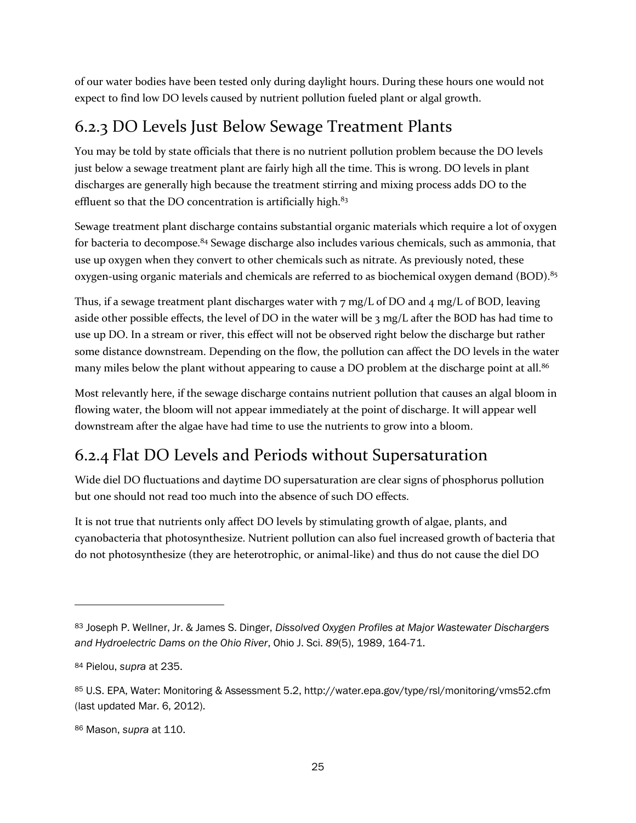of our water bodies have been tested only during daylight hours. During these hours one would not expect to find low DO levels caused by nutrient pollution fueled plant or algal growth.

### 6.2.3 DO Levels Just Below Sewage Treatment Plants

You may be told by state officials that there is no nutrient pollution problem because the DO levels just below a sewage treatment plant are fairly high all the time. This is wrong. DO levels in plant discharges are generally high because the treatment stirring and mixing process adds DO to the effluent so that the DO concentration is artificially high. $83$ 

Sewage treatment plant discharge contains substantial organic materials which require a lot of oxygen for bacteria to decompose.<sup>84</sup> Sewage discharge also includes various chemicals, such as ammonia, that use up oxygen when they convert to other chemicals such as nitrate. As previously noted, these oxygen-using organic materials and chemicals are referred to as biochemical oxygen demand (BOD).<sup>85</sup>

Thus, if a sewage treatment plant discharges water with  $7 \text{ mg/L}$  of DO and  $4 \text{ mg/L}$  of BOD, leaving aside other possible effects, the level of DO in the water will be 3 mg/L after the BOD has had time to use up DO. In a stream or river, this effect will not be observed right below the discharge but rather some distance downstream. Depending on the flow, the pollution can affect the DO levels in the water many miles below the plant without appearing to cause a DO problem at the discharge point at all.<sup>86</sup>

Most relevantly here, if the sewage discharge contains nutrient pollution that causes an algal bloom in flowing water, the bloom will not appear immediately at the point of discharge. It will appear well downstream after the algae have had time to use the nutrients to grow into a bloom.

### 6.2.4 Flat DO Levels and Periods without Supersaturation

Wide diel DO fluctuations and daytime DO supersaturation are clear signs of phosphorus pollution but one should not read too much into the absence of such DO effects.

It is not true that nutrients only affect DO levels by stimulating growth of algae, plants, and cyanobacteria that photosynthesize. Nutrient pollution can also fuel increased growth of bacteria that do not photosynthesize (they are heterotrophic, or animal-like) and thus do not cause the diel DO

<sup>83</sup> Joseph P. Wellner, Jr. & James S. Dinger, *Dissolved Oxygen Profiles at Major Wastewater Dischargers and Hydroelectric Dams on the Ohio River*, Ohio J. Sci. *89*(5), 1989, 164-71.

<sup>84</sup> Pielou, *supra* at 235.

<sup>85</sup> U.S. EPA, Water: Monitoring & Assessment 5.2, http://water.epa.gov/type/rsl/monitoring/vms52.cfm (last updated Mar. 6, 2012).

<sup>86</sup> Mason, *supra* at 110.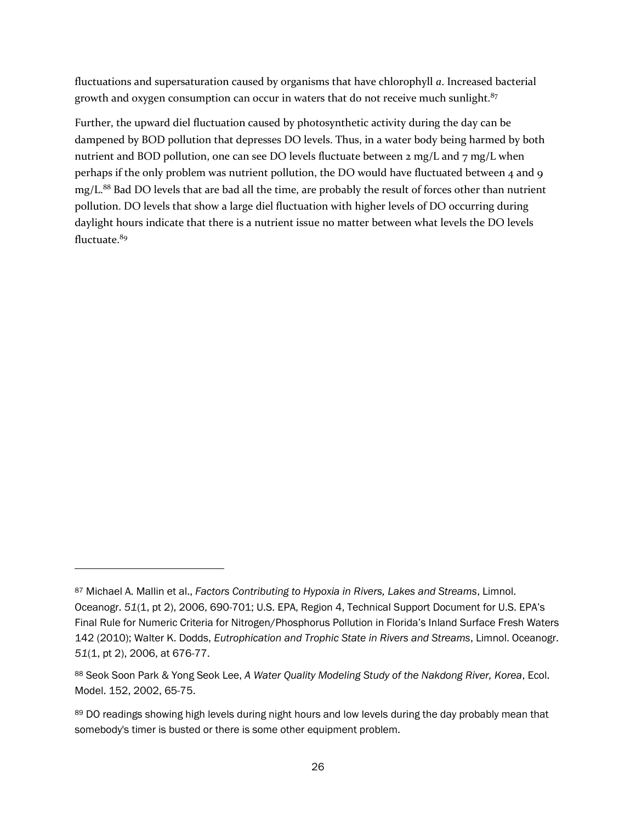fluctuations and supersaturation caused by organisms that have chlorophyll *a*. Increased bacterial growth and oxygen consumption can occur in waters that do not receive much sunlight. $87$ 

Further, the upward diel fluctuation caused by photosynthetic activity during the day can be dampened by BOD pollution that depresses DO levels. Thus, in a water body being harmed by both nutrient and BOD pollution, one can see DO levels fluctuate between 2 mg/L and 7 mg/L when perhaps if the only problem was nutrient pollution, the DO would have fluctuated between 4 and 9 mg/L.<sup>88</sup> Bad DO levels that are bad all the time, are probably the result of forces other than nutrient pollution. DO levels that show a large diel fluctuation with higher levels of DO occurring during daylight hours indicate that there is a nutrient issue no matter between what levels the DO levels fluctuate.<sup>89</sup>

<sup>87</sup> Michael A. Mallin et al., *Factors Contributing to Hypoxia in Rivers, Lakes and Streams*, Limnol. Oceanogr. *51*(1, pt 2), 2006, 690-701; U.S. EPA, Region 4, Technical Support Document for U.S. EPA's Final Rule for Numeric Criteria for Nitrogen/Phosphorus Pollution in Florida's Inland Surface Fresh Waters 142 (2010); Walter K. Dodds, *Eutrophication and Trophic State in Rivers and Streams*, Limnol. Oceanogr. *51*(1, pt 2), 2006, at 676-77.

<sup>88</sup> Seok Soon Park & Yong Seok Lee, *A Water Quality Modeling Study of the Nakdong River, Korea*, Ecol. Model. 152, 2002, 65-75.

<sup>89</sup> DO readings showing high levels during night hours and low levels during the day probably mean that somebody's timer is busted or there is some other equipment problem.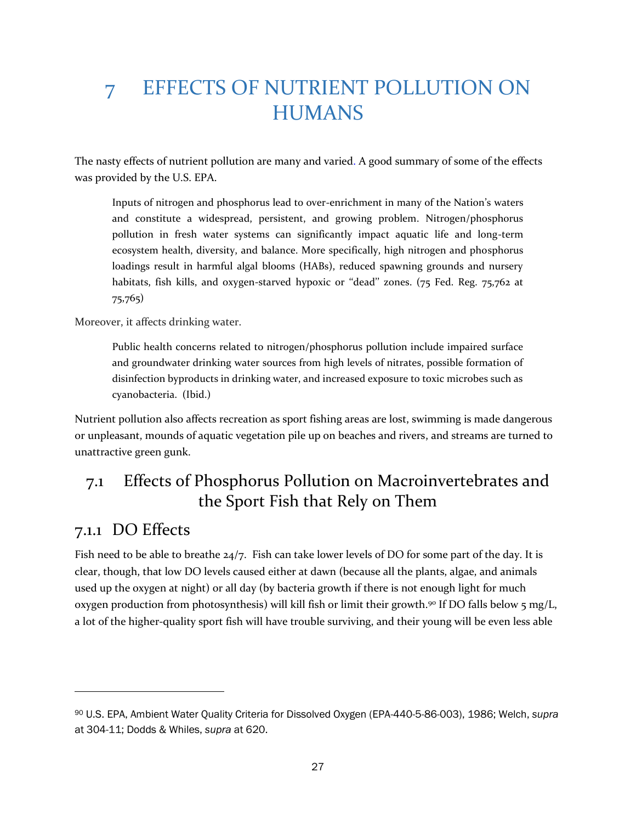# 7 EFFECTS OF NUTRIENT POLLUTION ON HUMANS

The nasty effects of nutrient pollution are many and varied. A good summary of some of the effects was provided by the U.S. EPA.

Inputs of nitrogen and phosphorus lead to over-enrichment in many of the Nation's waters and constitute a widespread, persistent, and growing problem. Nitrogen/phosphorus pollution in fresh water systems can significantly impact aquatic life and long-term ecosystem health, diversity, and balance. More specifically, high nitrogen and phosphorus loadings result in harmful algal blooms (HABs), reduced spawning grounds and nursery habitats, fish kills, and oxygen-starved hypoxic or "dead" zones. (75 Fed. Reg. 75,762 at 75,765)

Moreover, it affects drinking water.

Public health concerns related to nitrogen/phosphorus pollution include impaired surface and groundwater drinking water sources from high levels of nitrates, possible formation of disinfection byproducts in drinking water, and increased exposure to toxic microbes such as cyanobacteria. (Ibid.)

Nutrient pollution also affects recreation as sport fishing areas are lost, swimming is made dangerous or unpleasant, mounds of aquatic vegetation pile up on beaches and rivers, and streams are turned to unattractive green gunk.

#### 7.1 Effects of Phosphorus Pollution on Macroinvertebrates and the Sport Fish that Rely on Them

#### 7.1.1 DO Effects

 $\overline{a}$ 

Fish need to be able to breathe  $24/7$ . Fish can take lower levels of DO for some part of the day. It is clear, though, that low DO levels caused either at dawn (because all the plants, algae, and animals used up the oxygen at night) or all day (by bacteria growth if there is not enough light for much oxygen production from photosynthesis) will kill fish or limit their growth.<sup>90</sup> If DO falls below 5 mg/L, a lot of the higher-quality sport fish will have trouble surviving, and their young will be even less able

<sup>90</sup> U.S. EPA, Ambient Water Quality Criteria for Dissolved Oxygen (EPA-440-5-86-003), 1986; Welch, *supra* at 304-11; Dodds & Whiles, *supra* at 620.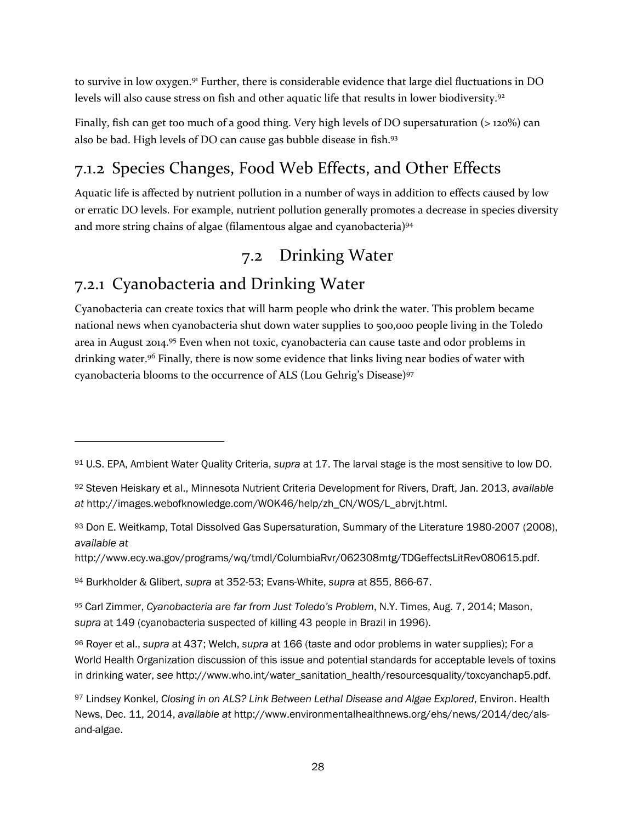to survive in low oxygen.<sup>91</sup> Further, there is considerable evidence that large diel fluctuations in DO levels will also cause stress on fish and other aquatic life that results in lower biodiversity.<sup>92</sup>

Finally, fish can get too much of a good thing. Very high levels of DO supersaturation (> 120%) can also be bad. High levels of DO can cause gas bubble disease in fish. 93

### 7.1.2 Species Changes, Food Web Effects, and Other Effects

Aquatic life is affected by nutrient pollution in a number of ways in addition to effects caused by low or erratic DO levels. For example, nutrient pollution generally promotes a decrease in species diversity and more string chains of algae (filamentous algae and cyanobacteria)<sup>94</sup>

### 7.2 Drinking Water

### 7.2.1 Cyanobacteria and Drinking Water

 $\overline{a}$ 

Cyanobacteria can create toxics that will harm people who drink the water. This problem became national news when cyanobacteria shut down water supplies to 500,000 people living in the Toledo area in August 2014.<sup>95</sup> Even when not toxic, cyanobacteria can cause taste and odor problems in drinking water. <sup>96</sup> Finally, there is now some evidence that links living near bodies of water with cyanobacteria blooms to the occurrence of ALS (Lou Gehrig's Disease)<sup>97</sup>

http://www.ecy.wa.gov/programs/wq/tmdl/ColumbiaRvr/062308mtg/TDGeffectsLitRev080615.pdf.

<sup>94</sup> Burkholder & Glibert, *supra* at 352-53; Evans-White, *supra* at 855, 866-67.

<sup>95</sup> Carl Zimmer, *Cyanobacteria are far from Just Toledo's Problem*, N.Y. Times, Aug. 7, 2014; Mason, *supra* at 149 (cyanobacteria suspected of killing 43 people in Brazil in 1996).

<sup>96</sup> Royer et al., *supra* at 437; Welch, *supra* at 166 (taste and odor problems in water supplies); For a World Health Organization discussion of this issue and potential standards for acceptable levels of toxins in drinking water, *see* http://www.who.int/water\_sanitation\_health/resourcesquality/toxcyanchap5.pdf.

<sup>91</sup> U.S. EPA, Ambient Water Quality Criteria, *supra* at 17. The larval stage is the most sensitive to low DO.

<sup>92</sup> Steven Heiskary et al., Minnesota Nutrient Criteria Development for Rivers, Draft, Jan. 2013, *available at* http://images.webofknowledge.com/WOK46/help/zh\_CN/WOS/L\_abrvjt.html.

<sup>93</sup> Don E. Weitkamp, Total Dissolved Gas Supersaturation, Summary of the Literature 1980-2007 (2008), *available at*

<sup>97</sup> Lindsey Konkel, *Closing in on ALS? Link Between Lethal Disease and Algae Explored*, Environ. Health News, Dec. 11, 2014, *available at* http://www.environmentalhealthnews.org/ehs/news/2014/dec/alsand-algae.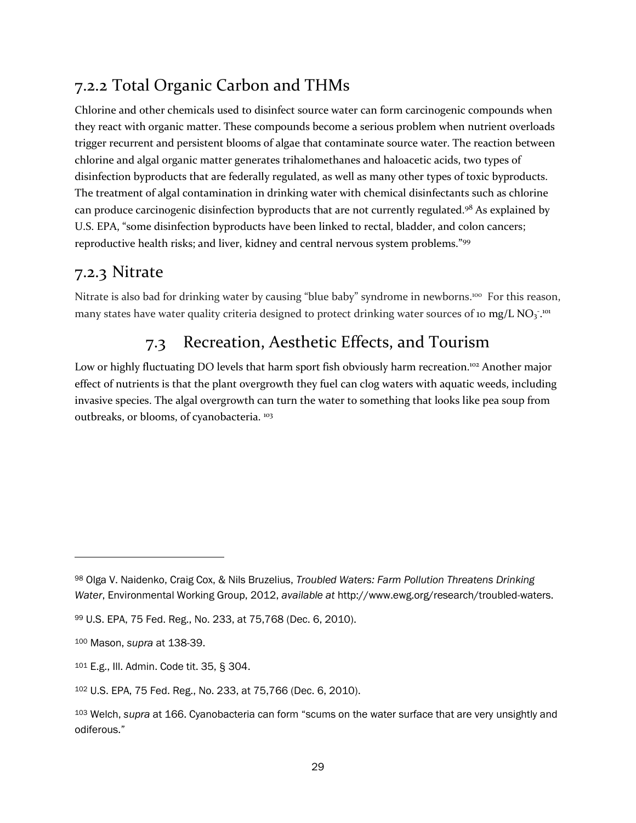#### 7.2.2 Total Organic Carbon and THMs

Chlorine and other chemicals used to disinfect source water can form carcinogenic compounds when they react with organic matter. These compounds become a serious problem when nutrient overloads trigger recurrent and persistent blooms of algae that contaminate source water. The reaction between chlorine and algal organic matter generates trihalomethanes and haloacetic acids, two types of disinfection byproducts that are federally regulated, as well as many other types of toxic byproducts. The treatment of algal contamination in drinking water with chemical disinfectants such as chlorine can produce carcinogenic disinfection byproducts that are not currently regulated.98 As explained by U.S. EPA, "some disinfection byproducts have been linked to rectal, bladder, and colon cancers; reproductive health risks; and liver, kidney and central nervous system problems."<sup>99</sup>

#### 7.2.3 Nitrate

Nitrate is also bad for drinking water by causing "blue baby" syndrome in newborns.<sup>100</sup> For this reason, many states have water quality criteria designed to protect drinking water sources of 10 mg/L NO<sub>3</sub>.<sup>101</sup>

### 7.3 Recreation, Aesthetic Effects, and Tourism

Low or highly fluctuating DO levels that harm sport fish obviously harm recreation.<sup>102</sup> Another major effect of nutrients is that the plant overgrowth they fuel can clog waters with aquatic weeds, including invasive species. The algal overgrowth can turn the water to something that looks like pea soup from outbreaks, or blooms, of cyanobacteria. <sup>103</sup>

<sup>98</sup> Olga V. Naidenko, Craig Cox, & Nils Bruzelius, *Troubled Waters: Farm Pollution Threatens Drinking Water*, Environmental Working Group, 2012, *available at* http://www.ewg.org/research/troubled-waters.

<sup>99</sup> U.S. EPA, 75 Fed. Reg., No. 233, at 75,768 (Dec. 6, 2010).

<sup>100</sup> Mason, *supra* at 138-39.

<sup>101</sup> E.g., Ill. Admin. Code tit. 35, § 304.

<sup>102</sup> U.S. EPA, 75 Fed. Reg., No. 233, at 75,766 (Dec. 6, 2010).

<sup>103</sup> Welch, *supra* at 166. Cyanobacteria can form "scums on the water surface that are very unsightly and odiferous."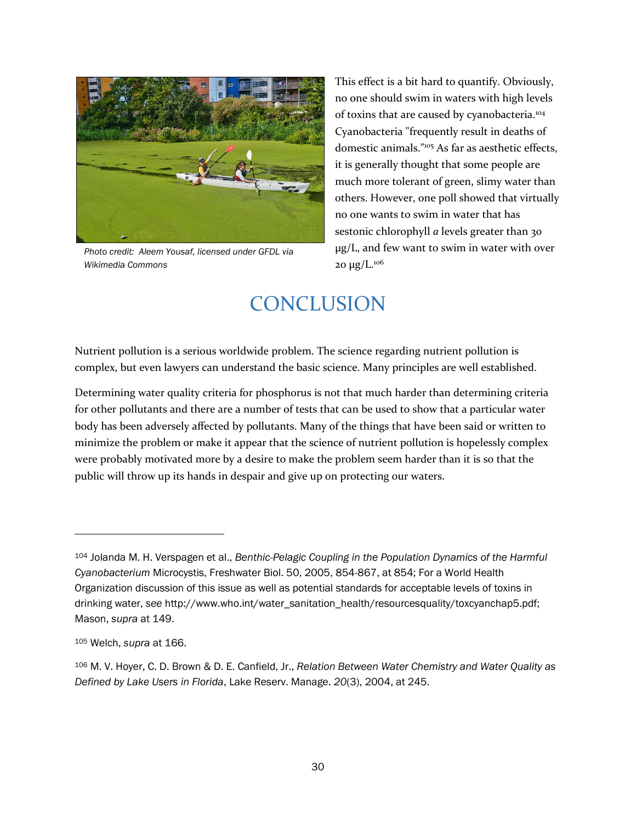

*Photo credit: Aleem Yousaf, licensed under GFDL via Wikimedia Commons*

This effect is a bit hard to quantify. Obviously, no one should swim in waters with high levels of toxins that are caused by cyanobacteria.<sup>104</sup> Cyanobacteria "frequently result in deaths of domestic animals."<sup>105</sup> As far as aesthetic effects, it is generally thought that some people are much more tolerant of green, slimy water than others. However, one poll showed that virtually no one wants to swim in water that has sestonic chlorophyll *a* levels greater than 30 μg/L, and few want to swim in water with over 20 μg/L. $106$ 

## **CONCLUSION**

Nutrient pollution is a serious worldwide problem. The science regarding nutrient pollution is complex, but even lawyers can understand the basic science. Many principles are well established.

Determining water quality criteria for phosphorus is not that much harder than determining criteria for other pollutants and there are a number of tests that can be used to show that a particular water body has been adversely affected by pollutants. Many of the things that have been said or written to minimize the problem or make it appear that the science of nutrient pollution is hopelessly complex were probably motivated more by a desire to make the problem seem harder than it is so that the public will throw up its hands in despair and give up on protecting our waters.

<sup>104</sup> Jolanda M. H. Verspagen et al., *Benthic-Pelagic Coupling in the Population Dynamics of the Harmful Cyanobacterium* Microcystis, Freshwater Biol. 50, 2005, 854-867, at 854; For a World Health Organization discussion of this issue as well as potential standards for acceptable levels of toxins in drinking water, *see* http://www.who.int/water\_sanitation\_health/resourcesquality/toxcyanchap5.pdf; Mason, *supra* at 149.

<sup>105</sup> Welch, *supra* at 166.

<sup>106</sup> M. V. Hoyer, C. D. Brown & D. E. Canfield, Jr., *Relation Between Water Chemistry and Water Quality as Defined by Lake Users in Florida*, Lake Reserv. Manage. *20*(3), 2004, at 245.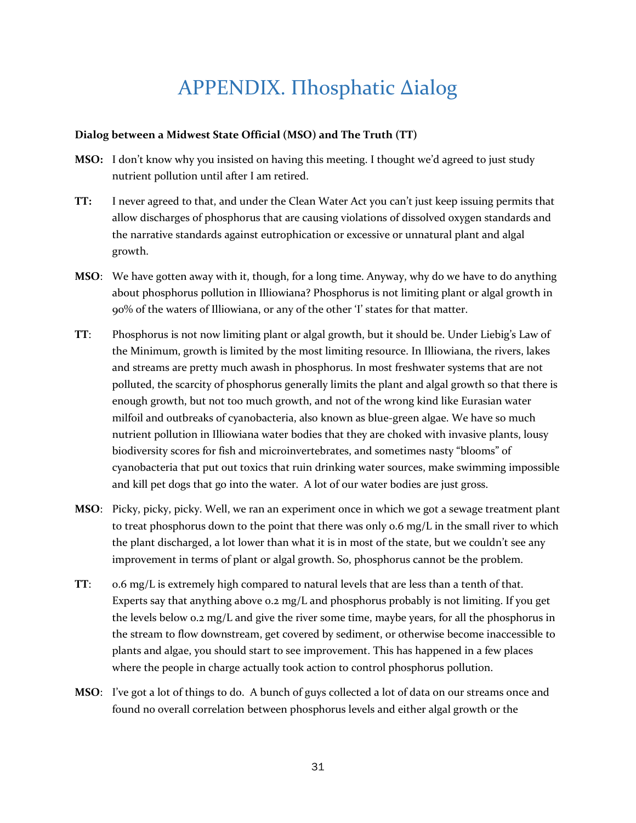# APPENDIX. Пhosphatic Δialog

#### **Dialog between a Midwest State Official (MSO) and The Truth (TT)**

- **MSO:** I don't know why you insisted on having this meeting. I thought we'd agreed to just study nutrient pollution until after I am retired.
- **TT:** I never agreed to that, and under the Clean Water Act you can't just keep issuing permits that allow discharges of phosphorus that are causing violations of dissolved oxygen standards and the narrative standards against eutrophication or excessive or unnatural plant and algal growth.
- **MSO**: We have gotten away with it, though, for a long time. Anyway, why do we have to do anything about phosphorus pollution in Illiowiana? Phosphorus is not limiting plant or algal growth in 90% of the waters of Illiowiana, or any of the other 'I' states for that matter.
- **TT**: Phosphorus is not now limiting plant or algal growth, but it should be. Under Liebig's Law of the Minimum, growth is limited by the most limiting resource. In Illiowiana, the rivers, lakes and streams are pretty much awash in phosphorus. In most freshwater systems that are not polluted, the scarcity of phosphorus generally limits the plant and algal growth so that there is enough growth, but not too much growth, and not of the wrong kind like Eurasian water milfoil and outbreaks of cyanobacteria, also known as blue-green algae. We have so much nutrient pollution in Illiowiana water bodies that they are choked with invasive plants, lousy biodiversity scores for fish and microinvertebrates, and sometimes nasty "blooms" of cyanobacteria that put out toxics that ruin drinking water sources, make swimming impossible and kill pet dogs that go into the water. A lot of our water bodies are just gross.
- **MSO**: Picky, picky, picky. Well, we ran an experiment once in which we got a sewage treatment plant to treat phosphorus down to the point that there was only  $o.6$  mg/L in the small river to which the plant discharged, a lot lower than what it is in most of the state, but we couldn't see any improvement in terms of plant or algal growth. So, phosphorus cannot be the problem.
- **TT**: 0.6 mg/L is extremely high compared to natural levels that are less than a tenth of that. Experts say that anything above 0.2 mg/L and phosphorus probably is not limiting. If you get the levels below 0.2 mg/L and give the river some time, maybe years, for all the phosphorus in the stream to flow downstream, get covered by sediment, or otherwise become inaccessible to plants and algae, you should start to see improvement. This has happened in a few places where the people in charge actually took action to control phosphorus pollution.
- **MSO**: I've got a lot of things to do. A bunch of guys collected a lot of data on our streams once and found no overall correlation between phosphorus levels and either algal growth or the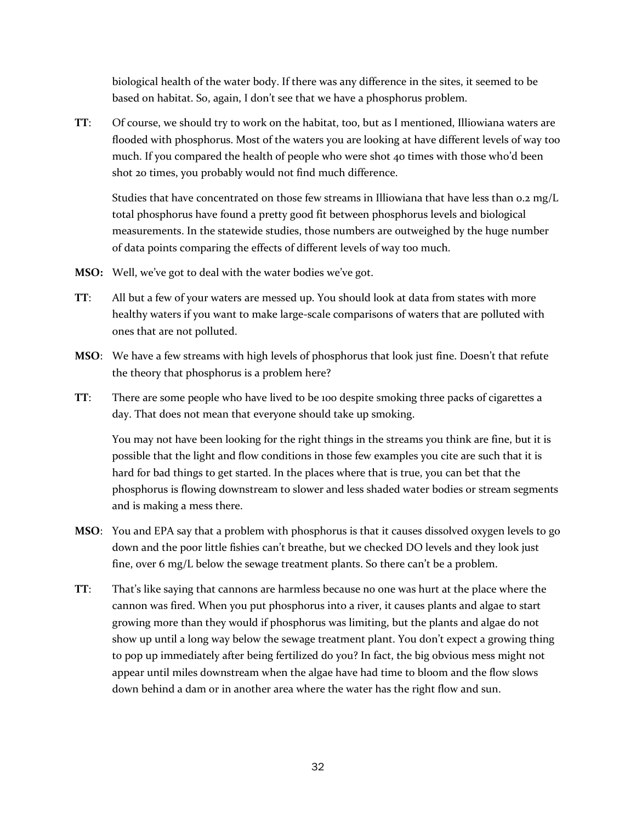biological health of the water body. If there was any difference in the sites, it seemed to be based on habitat. So, again, I don't see that we have a phosphorus problem.

**TT**: Of course, we should try to work on the habitat, too, but as I mentioned, Illiowiana waters are flooded with phosphorus. Most of the waters you are looking at have different levels of way too much. If you compared the health of people who were shot 40 times with those who'd been shot 20 times, you probably would not find much difference.

Studies that have concentrated on those few streams in Illiowiana that have less than  $o.2 \text{ mg/L}$ total phosphorus have found a pretty good fit between phosphorus levels and biological measurements. In the statewide studies, those numbers are outweighed by the huge number of data points comparing the effects of different levels of way too much.

- **MSO:** Well, we've got to deal with the water bodies we've got.
- **TT**: All but a few of your waters are messed up. You should look at data from states with more healthy waters if you want to make large-scale comparisons of waters that are polluted with ones that are not polluted.
- **MSO**: We have a few streams with high levels of phosphorus that look just fine. Doesn't that refute the theory that phosphorus is a problem here?
- **TT**: There are some people who have lived to be 100 despite smoking three packs of cigarettes a day. That does not mean that everyone should take up smoking.

You may not have been looking for the right things in the streams you think are fine, but it is possible that the light and flow conditions in those few examples you cite are such that it is hard for bad things to get started. In the places where that is true, you can bet that the phosphorus is flowing downstream to slower and less shaded water bodies or stream segments and is making a mess there.

- **MSO**: You and EPA say that a problem with phosphorus is that it causes dissolved oxygen levels to go down and the poor little fishies can't breathe, but we checked DO levels and they look just fine, over 6 mg/L below the sewage treatment plants. So there can't be a problem.
- **TT**: That's like saying that cannons are harmless because no one was hurt at the place where the cannon was fired. When you put phosphorus into a river, it causes plants and algae to start growing more than they would if phosphorus was limiting, but the plants and algae do not show up until a long way below the sewage treatment plant. You don't expect a growing thing to pop up immediately after being fertilized do you? In fact, the big obvious mess might not appear until miles downstream when the algae have had time to bloom and the flow slows down behind a dam or in another area where the water has the right flow and sun.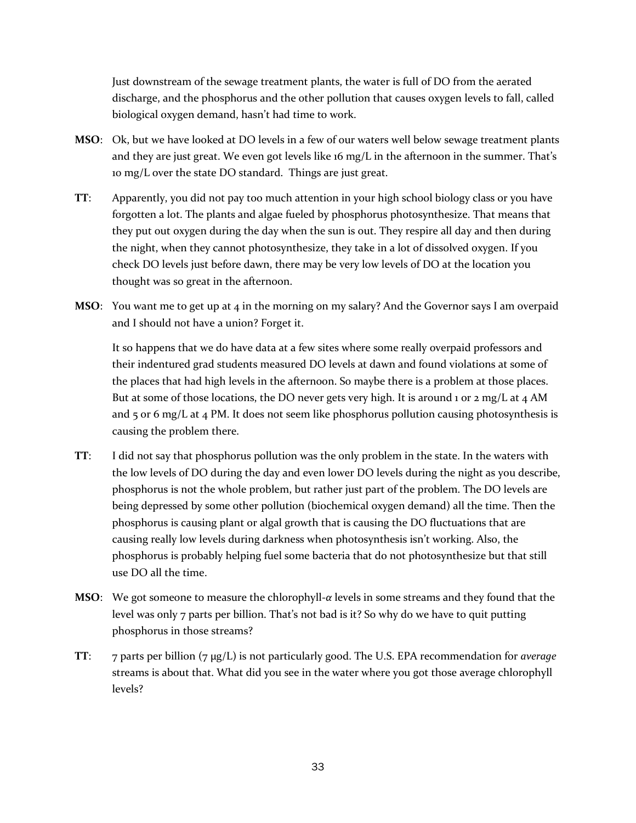Just downstream of the sewage treatment plants, the water is full of DO from the aerated discharge, and the phosphorus and the other pollution that causes oxygen levels to fall, called biological oxygen demand, hasn't had time to work.

- **MSO**: Ok, but we have looked at DO levels in a few of our waters well below sewage treatment plants and they are just great. We even got levels like 16 mg/L in the afternoon in the summer. That's 10 mg/L over the state DO standard. Things are just great.
- **TT**: Apparently, you did not pay too much attention in your high school biology class or you have forgotten a lot. The plants and algae fueled by phosphorus photosynthesize. That means that they put out oxygen during the day when the sun is out. They respire all day and then during the night, when they cannot photosynthesize, they take in a lot of dissolved oxygen. If you check DO levels just before dawn, there may be very low levels of DO at the location you thought was so great in the afternoon.
- **MSO**: You want me to get up at 4 in the morning on my salary? And the Governor says I am overpaid and I should not have a union? Forget it.

It so happens that we do have data at a few sites where some really overpaid professors and their indentured grad students measured DO levels at dawn and found violations at some of the places that had high levels in the afternoon. So maybe there is a problem at those places. But at some of those locations, the DO never gets very high. It is around 1 or  $2 \text{ mg/L}$  at  $4 \text{ AM}$ and  $5$  or 6 mg/L at 4 PM. It does not seem like phosphorus pollution causing photosynthesis is causing the problem there.

- **TT**: I did not say that phosphorus pollution was the only problem in the state. In the waters with the low levels of DO during the day and even lower DO levels during the night as you describe, phosphorus is not the whole problem, but rather just part of the problem. The DO levels are being depressed by some other pollution (biochemical oxygen demand) all the time. Then the phosphorus is causing plant or algal growth that is causing the DO fluctuations that are causing really low levels during darkness when photosynthesis isn't working. Also, the phosphorus is probably helping fuel some bacteria that do not photosynthesize but that still use DO all the time.
- **MSO**: We got someone to measure the chlorophyll-*α* levels in some streams and they found that the level was only 7 parts per billion. That's not bad is it? So why do we have to quit putting phosphorus in those streams?
- **TT**: 7 parts per billion (7 μg/L) is not particularly good. The U.S. EPA recommendation for *average* streams is about that. What did you see in the water where you got those average chlorophyll levels?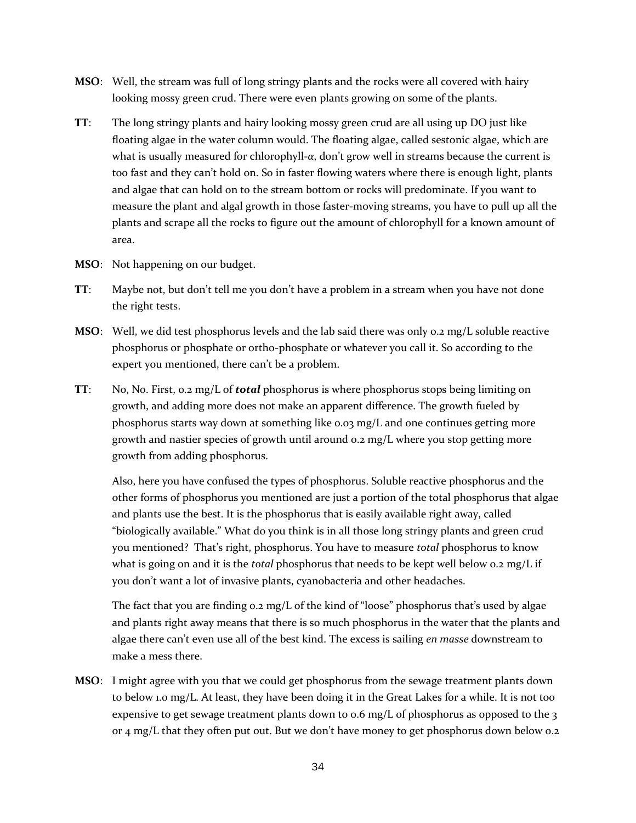- **MSO**: Well, the stream was full of long stringy plants and the rocks were all covered with hairy looking mossy green crud. There were even plants growing on some of the plants.
- **TT**: The long stringy plants and hairy looking mossy green crud are all using up DO just like floating algae in the water column would. The floating algae, called sestonic algae, which are what is usually measured for chlorophyll-*α*, don't grow well in streams because the current is too fast and they can't hold on. So in faster flowing waters where there is enough light, plants and algae that can hold on to the stream bottom or rocks will predominate. If you want to measure the plant and algal growth in those faster-moving streams, you have to pull up all the plants and scrape all the rocks to figure out the amount of chlorophyll for a known amount of area.
- **MSO**: Not happening on our budget.
- **TT**: Maybe not, but don't tell me you don't have a problem in a stream when you have not done the right tests.
- **MSO**: Well, we did test phosphorus levels and the lab said there was only 0.2 mg/L soluble reactive phosphorus or phosphate or ortho-phosphate or whatever you call it. So according to the expert you mentioned, there can't be a problem.
- **TT**: No, No. First, 0.2 mg/L of *total* phosphorus is where phosphorus stops being limiting on growth, and adding more does not make an apparent difference. The growth fueled by phosphorus starts way down at something like 0.03 mg/L and one continues getting more growth and nastier species of growth until around 0.2 mg/L where you stop getting more growth from adding phosphorus.

Also, here you have confused the types of phosphorus. Soluble reactive phosphorus and the other forms of phosphorus you mentioned are just a portion of the total phosphorus that algae and plants use the best. It is the phosphorus that is easily available right away, called "biologically available." What do you think is in all those long stringy plants and green crud you mentioned? That's right, phosphorus. You have to measure *total* phosphorus to know what is going on and it is the *total* phosphorus that needs to be kept well below 0.2 mg/L if you don't want a lot of invasive plants, cyanobacteria and other headaches.

The fact that you are finding 0.2 mg/L of the kind of "loose" phosphorus that's used by algae and plants right away means that there is so much phosphorus in the water that the plants and algae there can't even use all of the best kind. The excess is sailing *en masse* downstream to make a mess there.

**MSO**: I might agree with you that we could get phosphorus from the sewage treatment plants down to below 1.0 mg/L. At least, they have been doing it in the Great Lakes for a while. It is not too expensive to get sewage treatment plants down to 0.6 mg/L of phosphorus as opposed to the 3 or 4 mg/L that they often put out. But we don't have money to get phosphorus down below 0.2